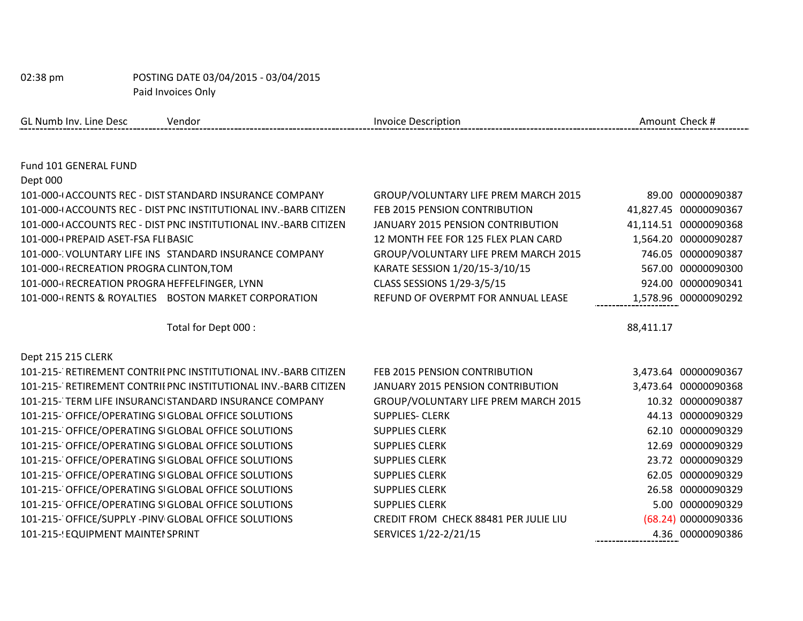GL Numb Inv. Line Desc Vendor Vendor Check # Invoice Description Check # Amount Check #

| Fund 101 GENERAL FUND                                            |                                       |           |                       |
|------------------------------------------------------------------|---------------------------------------|-----------|-----------------------|
| Dept 000                                                         |                                       |           |                       |
| 101-000-(ACCOUNTS REC - DIST STANDARD INSURANCE COMPANY          | GROUP/VOLUNTARY LIFE PREM MARCH 2015  | 89.00     | 00000090387           |
| 101-000-(ACCOUNTS REC - DIST PNC INSTITUTIONAL INV.-BARB CITIZEN | FEB 2015 PENSION CONTRIBUTION         |           | 41,827.45 00000090367 |
| 101-000-(ACCOUNTS REC - DIST PNC INSTITUTIONAL INV.-BARB CITIZEN | JANUARY 2015 PENSION CONTRIBUTION     |           | 41,114.51 00000090368 |
| 101-000-(PREPAID ASET-FSA FLIBASIC                               | 12 MONTH FEE FOR 125 FLEX PLAN CARD   |           | 1,564.20 00000090287  |
| 101-000- VOLUNTARY LIFE INS STANDARD INSURANCE COMPANY           | GROUP/VOLUNTARY LIFE PREM MARCH 2015  | 746.05    | 00000090387           |
| 101-000-(RECREATION PROGRA CLINTON, TOM                          | KARATE SESSION 1/20/15-3/10/15        |           | 567.00 00000090300    |
| 101-000-(RECREATION PROGRA HEFFELFINGER, LYNN                    | CLASS SESSIONS 1/29-3/5/15            | 924.00    | 00000090341           |
| 101-000-(RENTS & ROYALTIES BOSTON MARKET CORPORATION             | REFUND OF OVERPMT FOR ANNUAL LEASE    |           | 1,578.96 00000090292  |
|                                                                  |                                       |           |                       |
| Total for Dept 000 :                                             |                                       | 88,411.17 |                       |
|                                                                  |                                       |           |                       |
| Dept 215 215 CLERK                                               |                                       |           |                       |
| 101-215- RETIREMENT CONTRILPNC INSTITUTIONAL INV.-BARB CITIZEN   | FEB 2015 PENSION CONTRIBUTION         |           | 3,473.64 00000090367  |
| 101-215- RETIREMENT CONTRILPNC INSTITUTIONAL INV.-BARB CITIZEN   | JANUARY 2015 PENSION CONTRIBUTION     |           | 3,473.64 00000090368  |
| 101-215- TERM LIFE INSURANCI STANDARD INSURANCE COMPANY          | GROUP/VOLUNTARY LIFE PREM MARCH 2015  |           | 10.32 00000090387     |
| 101-215- OFFICE/OPERATING SIGLOBAL OFFICE SOLUTIONS              | <b>SUPPLIES- CLERK</b>                | 44.13     | 00000090329           |
| 101-215- OFFICE/OPERATING SIGLOBAL OFFICE SOLUTIONS              | <b>SUPPLIES CLERK</b>                 |           | 62.10 00000090329     |
| 101-215- OFFICE/OPERATING SIGLOBAL OFFICE SOLUTIONS              | <b>SUPPLIES CLERK</b>                 | 12.69     | 00000090329           |
| 101-215- OFFICE/OPERATING SIGLOBAL OFFICE SOLUTIONS              | <b>SUPPLIES CLERK</b>                 | 23.72     | 00000090329           |
| 101-215- OFFICE/OPERATING SIGLOBAL OFFICE SOLUTIONS              | <b>SUPPLIES CLERK</b>                 | 62.05     | 00000090329           |
| 101-215- OFFICE/OPERATING SIGLOBAL OFFICE SOLUTIONS              | <b>SUPPLIES CLERK</b>                 | 26.58     | 00000090329           |
| 101-215- OFFICE/OPERATING SIGLOBAL OFFICE SOLUTIONS              | <b>SUPPLIES CLERK</b>                 | 5.00      | 00000090329           |
| 101-215- OFFICE/SUPPLY -PINV GLOBAL OFFICE SOLUTIONS             | CREDIT FROM CHECK 88481 PER JULIE LIU |           | (68.24) 00000090336   |
| 101-215-! EQUIPMENT MAINTEI SPRINT                               | SERVICES 1/22-2/21/15                 | 4.36      | 00000090386           |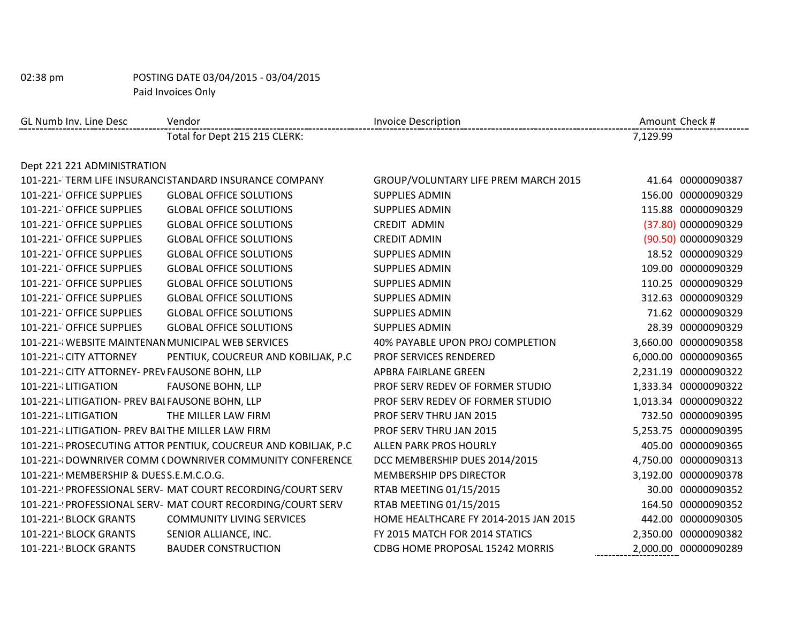| GL Numb Inv. Line Desc                            | Vendor                                                          | <b>Invoice Description</b>            |          | Amount Check #       |
|---------------------------------------------------|-----------------------------------------------------------------|---------------------------------------|----------|----------------------|
|                                                   | Total for Dept 215 215 CLERK:                                   |                                       | 7,129.99 |                      |
|                                                   |                                                                 |                                       |          |                      |
| Dept 221 221 ADMINISTRATION                       |                                                                 |                                       |          |                      |
|                                                   | 101-221-TERM LIFE INSURANCI STANDARD INSURANCE COMPANY          | GROUP/VOLUNTARY LIFE PREM MARCH 2015  |          | 41.64 00000090387    |
| 101-221- OFFICE SUPPLIES                          | <b>GLOBAL OFFICE SOLUTIONS</b>                                  | <b>SUPPLIES ADMIN</b>                 |          | 156.00 00000090329   |
| 101-221- OFFICE SUPPLIES                          | <b>GLOBAL OFFICE SOLUTIONS</b>                                  | <b>SUPPLIES ADMIN</b>                 |          | 115.88 00000090329   |
| 101-221- OFFICE SUPPLIES                          | <b>GLOBAL OFFICE SOLUTIONS</b>                                  | <b>CREDIT ADMIN</b>                   |          | (37.80) 00000090329  |
| 101-221- OFFICE SUPPLIES                          | <b>GLOBAL OFFICE SOLUTIONS</b>                                  | <b>CREDIT ADMIN</b>                   |          | (90.50) 00000090329  |
| 101-221- OFFICE SUPPLIES                          | <b>GLOBAL OFFICE SOLUTIONS</b>                                  | <b>SUPPLIES ADMIN</b>                 |          | 18.52 00000090329    |
| 101-221- OFFICE SUPPLIES                          | <b>GLOBAL OFFICE SOLUTIONS</b>                                  | <b>SUPPLIES ADMIN</b>                 |          | 109.00 00000090329   |
| 101-221- OFFICE SUPPLIES                          | <b>GLOBAL OFFICE SOLUTIONS</b>                                  | <b>SUPPLIES ADMIN</b>                 |          | 110.25 00000090329   |
| 101-221- OFFICE SUPPLIES                          | <b>GLOBAL OFFICE SOLUTIONS</b>                                  | <b>SUPPLIES ADMIN</b>                 |          | 312.63 00000090329   |
| 101-221- OFFICE SUPPLIES                          | <b>GLOBAL OFFICE SOLUTIONS</b>                                  | <b>SUPPLIES ADMIN</b>                 |          | 71.62 00000090329    |
| 101-221- OFFICE SUPPLIES                          | <b>GLOBAL OFFICE SOLUTIONS</b>                                  | <b>SUPPLIES ADMIN</b>                 |          | 28.39 00000090329    |
| 101-221-{WEBSITE MAINTENAN MUNICIPAL WEB SERVICES |                                                                 | 40% PAYABLE UPON PROJ COMPLETION      |          | 3,660.00 00000090358 |
| 101-221-{CITY ATTORNEY                            | PENTIUK, COUCREUR AND KOBILJAK, P.C.                            | <b>PROF SERVICES RENDERED</b>         |          | 6,000.00 00000090365 |
| 101-221-{CITY ATTORNEY- PREV FAUSONE BOHN, LLP    |                                                                 | APBRA FAIRLANE GREEN                  |          | 2,231.19 00000090322 |
| 101-221-{LITIGATION                               | <b>FAUSONE BOHN, LLP</b>                                        | PROF SERV REDEV OF FORMER STUDIO      |          | 1,333.34 00000090322 |
| 101-221-{LITIGATION- PREV BAI FAUSONE BOHN, LLP   |                                                                 | PROF SERV REDEV OF FORMER STUDIO      |          | 1,013.34 00000090322 |
| 101-221-{LITIGATION                               | THE MILLER LAW FIRM                                             | PROF SERV THRU JAN 2015               |          | 732.50 00000090395   |
| 101-221-{LITIGATION- PREV BAITHE MILLER LAW FIRM  |                                                                 | PROF SERV THRU JAN 2015               |          | 5,253.75 00000090395 |
|                                                   | 101-221-{PROSECUTING ATTOR PENTIUK, COUCREUR AND KOBILJAK, P.C. | ALLEN PARK PROS HOURLY                |          | 405.00 00000090365   |
|                                                   | 101-221-{DOWNRIVER COMM (DOWNRIVER COMMUNITY CONFERENCE         | DCC MEMBERSHIP DUES 2014/2015         |          | 4,750.00 00000090313 |
| 101-221- MEMBERSHIP & DUES S.E.M.C.O.G.           |                                                                 | MEMBERSHIP DPS DIRECTOR               |          | 3,192.00 00000090378 |
|                                                   | 101-221-(PROFESSIONAL SERV- MAT COURT RECORDING/COURT SERV      | RTAB MEETING 01/15/2015               |          | 30.00 00000090352    |
|                                                   | 101-221-(PROFESSIONAL SERV- MAT COURT RECORDING/COURT SERV      | RTAB MEETING 01/15/2015               |          | 164.50 00000090352   |
| 101-221-! BLOCK GRANTS                            | <b>COMMUNITY LIVING SERVICES</b>                                | HOME HEALTHCARE FY 2014-2015 JAN 2015 |          | 442.00 00000090305   |
| 101-221-! BLOCK GRANTS                            | SENIOR ALLIANCE, INC.                                           | FY 2015 MATCH FOR 2014 STATICS        |          | 2,350.00 00000090382 |
| 101-221-! BLOCK GRANTS                            | <b>BAUDER CONSTRUCTION</b>                                      | CDBG HOME PROPOSAL 15242 MORRIS       |          | 2,000.00 00000090289 |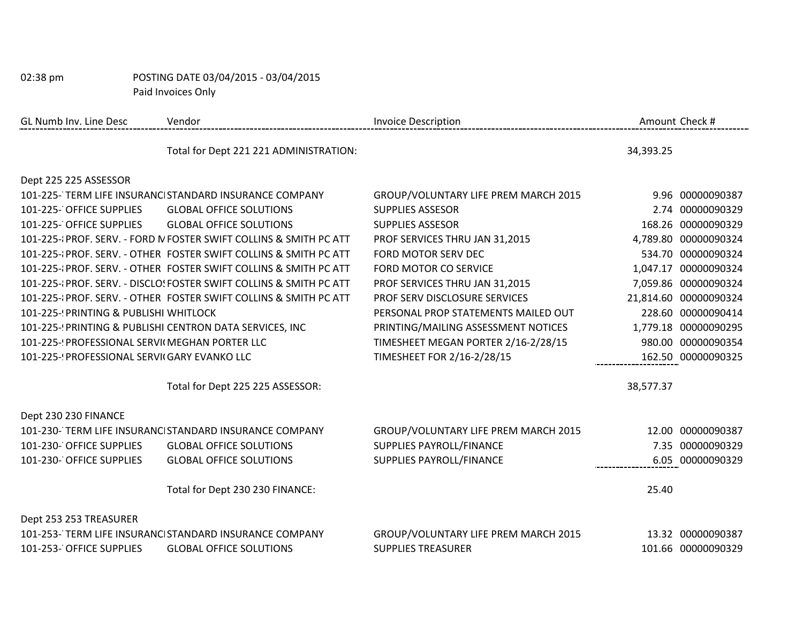| GL Numb Inv. Line Desc                          | Vendor                                                             | <b>Invoice Description</b>           |           | Amount Check #        |
|-------------------------------------------------|--------------------------------------------------------------------|--------------------------------------|-----------|-----------------------|
|                                                 | Total for Dept 221 221 ADMINISTRATION:                             |                                      | 34,393.25 |                       |
| Dept 225 225 ASSESSOR                           |                                                                    |                                      |           |                       |
|                                                 | 101-225-TERM LIFE INSURANCI STANDARD INSURANCE COMPANY             | GROUP/VOLUNTARY LIFE PREM MARCH 2015 |           | 9.96 00000090387      |
| 101-225- OFFICE SUPPLIES                        | <b>GLOBAL OFFICE SOLUTIONS</b>                                     | <b>SUPPLIES ASSESOR</b>              |           | 2.74 00000090329      |
| 101-225- OFFICE SUPPLIES                        | <b>GLOBAL OFFICE SOLUTIONS</b>                                     | <b>SUPPLIES ASSESOR</b>              |           | 168.26 00000090329    |
|                                                 | 101-225-{PROF. SERV. - FORD N FOSTER SWIFT COLLINS & SMITH PC ATT  | PROF SERVICES THRU JAN 31,2015       |           | 4,789.80 00000090324  |
|                                                 | 101-225-{PROF. SERV. - OTHER FOSTER SWIFT COLLINS & SMITH PC ATT   | FORD MOTOR SERV DEC                  |           | 534.70 00000090324    |
|                                                 | 101-225-{PROF. SERV. - OTHER FOSTER SWIFT COLLINS & SMITH PC ATT   | FORD MOTOR CO SERVICE                |           | 1,047.17 00000090324  |
|                                                 | 101-225-{PROF. SERV. - DISCLO! FOSTER SWIFT COLLINS & SMITH PC ATT | PROF SERVICES THRU JAN 31,2015       |           | 7,059.86 00000090324  |
|                                                 | 101-225-{PROF. SERV. - OTHER FOSTER SWIFT COLLINS & SMITH PC ATT   | PROF SERV DISCLOSURE SERVICES        |           | 21,814.60 00000090324 |
| 101-225-! PRINTING & PUBLISHI WHITLOCK          |                                                                    | PERSONAL PROP STATEMENTS MAILED OUT  |           | 228.60 00000090414    |
|                                                 | 101-225-! PRINTING & PUBLISHI CENTRON DATA SERVICES, INC           | PRINTING/MAILING ASSESSMENT NOTICES  |           | 1,779.18 00000090295  |
| 101-225-' PROFESSIONAL SERVII MEGHAN PORTER LLC |                                                                    | TIMESHEET MEGAN PORTER 2/16-2/28/15  |           | 980.00 00000090354    |
| 101-225- PROFESSIONAL SERVII GARY EVANKO LLC    |                                                                    | TIMESHEET FOR 2/16-2/28/15           |           | 162.50 00000090325    |
|                                                 | Total for Dept 225 225 ASSESSOR:                                   |                                      | 38,577.37 |                       |
| Dept 230 230 FINANCE                            |                                                                    |                                      |           |                       |
|                                                 | 101-230-TERM LIFE INSURANCI STANDARD INSURANCE COMPANY             | GROUP/VOLUNTARY LIFE PREM MARCH 2015 |           | 12.00 00000090387     |
| 101-230- OFFICE SUPPLIES                        | <b>GLOBAL OFFICE SOLUTIONS</b>                                     | SUPPLIES PAYROLL/FINANCE             |           | 7.35 00000090329      |
| 101-230- OFFICE SUPPLIES                        | <b>GLOBAL OFFICE SOLUTIONS</b>                                     | SUPPLIES PAYROLL/FINANCE             |           | 6.05 00000090329      |
|                                                 | Total for Dept 230 230 FINANCE:                                    |                                      | 25.40     |                       |
| Dept 253 253 TREASURER                          |                                                                    |                                      |           |                       |
|                                                 | 101-253-TERM LIFE INSURANCI STANDARD INSURANCE COMPANY             | GROUP/VOLUNTARY LIFE PREM MARCH 2015 |           | 13.32 00000090387     |
| 101-253- OFFICE SUPPLIES                        | <b>GLOBAL OFFICE SOLUTIONS</b>                                     | <b>SUPPLIES TREASURER</b>            |           | 101.66 00000090329    |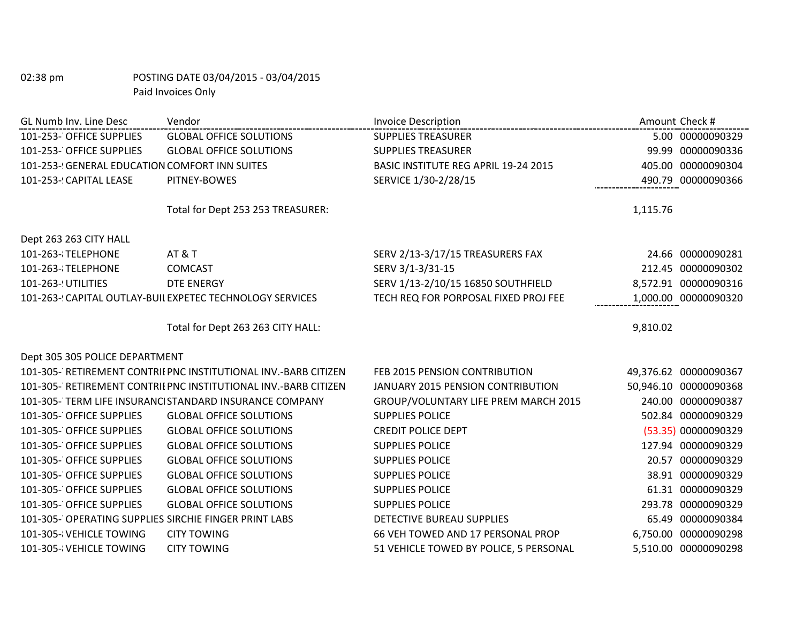| GL Numb Inv. Line Desc                                | Vendor                                                          | <b>Invoice Description</b>             | Amount Check #        |
|-------------------------------------------------------|-----------------------------------------------------------------|----------------------------------------|-----------------------|
| 101-253- OFFICE SUPPLIES                              | <b>GLOBAL OFFICE SOLUTIONS</b>                                  | <b>SUPPLIES TREASURER</b>              | 5.00 00000090329      |
| 101-253- OFFICE SUPPLIES                              | <b>GLOBAL OFFICE SOLUTIONS</b>                                  | <b>SUPPLIES TREASURER</b>              | 99.99 00000090336     |
| 101-253-! GENERAL EDUCATION COMFORT INN SUITES        |                                                                 | BASIC INSTITUTE REG APRIL 19-24 2015   | 405.00 00000090304    |
| 101-253- CAPITAL LEASE                                | PITNEY-BOWES                                                    | SERVICE 1/30-2/28/15                   | 490.79 00000090366    |
|                                                       | Total for Dept 253 253 TREASURER:                               |                                        | 1,115.76              |
|                                                       |                                                                 |                                        |                       |
| Dept 263 263 CITY HALL                                |                                                                 |                                        |                       |
| 101-263-{TELEPHONE                                    | <b>AT &amp; T</b>                                               | SERV 2/13-3/17/15 TREASURERS FAX       | 24.66 00000090281     |
| 101-263-{TELEPHONE                                    | <b>COMCAST</b>                                                  | SERV 3/1-3/31-15                       | 212.45 00000090302    |
| 101-263-! UTILITIES                                   | <b>DTE ENERGY</b>                                               | SERV 1/13-2/10/15 16850 SOUTHFIELD     | 8,572.91 00000090316  |
|                                                       | 101-263-! CAPITAL OUTLAY-BUIL EXPETEC TECHNOLOGY SERVICES       | TECH REQ FOR PORPOSAL FIXED PROJ FEE   | 1,000.00 00000090320  |
|                                                       |                                                                 |                                        |                       |
|                                                       | Total for Dept 263 263 CITY HALL:                               |                                        | 9,810.02              |
| Dept 305 305 POLICE DEPARTMENT                        |                                                                 |                                        |                       |
|                                                       | 101-305- RETIREMENT CONTRIEPNC INSTITUTIONAL INV.-BARB CITIZEN  | FEB 2015 PENSION CONTRIBUTION          | 49,376.62 00000090367 |
|                                                       | 101-305- RETIREMENT CONTRII PNC INSTITUTIONAL INV.-BARB CITIZEN | JANUARY 2015 PENSION CONTRIBUTION      | 50,946.10 00000090368 |
|                                                       | 101-305-TERM LIFE INSURANCI STANDARD INSURANCE COMPANY          | GROUP/VOLUNTARY LIFE PREM MARCH 2015   | 240.00 00000090387    |
| 101-305- OFFICE SUPPLIES                              | <b>GLOBAL OFFICE SOLUTIONS</b>                                  | <b>SUPPLIES POLICE</b>                 | 502.84 00000090329    |
| 101-305- OFFICE SUPPLIES                              | <b>GLOBAL OFFICE SOLUTIONS</b>                                  | <b>CREDIT POLICE DEPT</b>              | (53.35) 00000090329   |
| 101-305- OFFICE SUPPLIES                              | <b>GLOBAL OFFICE SOLUTIONS</b>                                  | <b>SUPPLIES POLICE</b>                 | 127.94 00000090329    |
| 101-305- OFFICE SUPPLIES                              | <b>GLOBAL OFFICE SOLUTIONS</b>                                  | <b>SUPPLIES POLICE</b>                 | 20.57 00000090329     |
| 101-305- OFFICE SUPPLIES                              | <b>GLOBAL OFFICE SOLUTIONS</b>                                  | <b>SUPPLIES POLICE</b>                 | 38.91 00000090329     |
| 101-305- OFFICE SUPPLIES                              | <b>GLOBAL OFFICE SOLUTIONS</b>                                  | <b>SUPPLIES POLICE</b>                 | 61.31 00000090329     |
| 101-305- OFFICE SUPPLIES                              | <b>GLOBAL OFFICE SOLUTIONS</b>                                  | <b>SUPPLIES POLICE</b>                 | 293.78 00000090329    |
| 101-305- OPERATING SUPPLIES SIRCHIE FINGER PRINT LABS |                                                                 | <b>DETECTIVE BUREAU SUPPLIES</b>       | 65.49 00000090384     |
| 101-305-{VEHICLE TOWING                               | <b>CITY TOWING</b>                                              | 66 VEH TOWED AND 17 PERSONAL PROP      | 6,750.00 00000090298  |
| 101-305-{VEHICLE TOWING                               | <b>CITY TOWING</b>                                              | 51 VEHICLE TOWED BY POLICE, 5 PERSONAL | 5,510.00 00000090298  |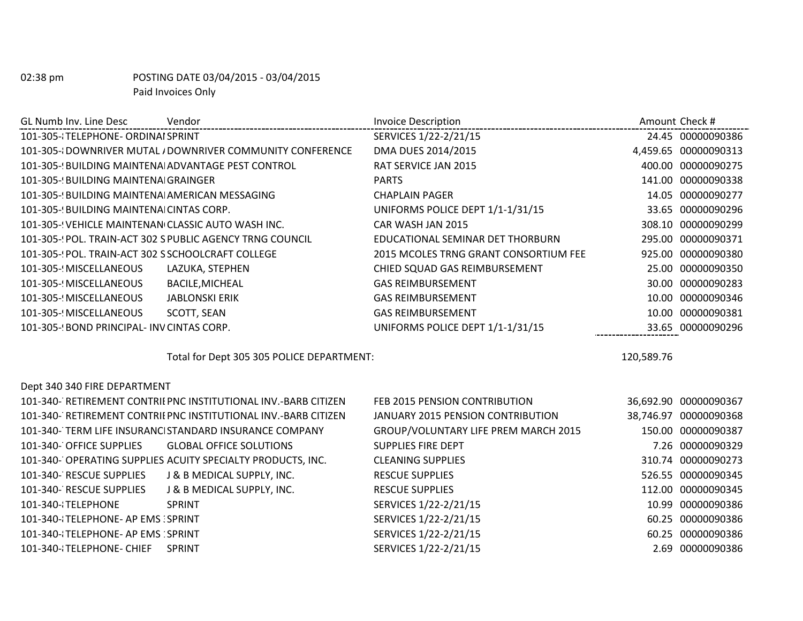| GL Numb Inv. Line Desc                            | Vendor                                                    | <b>Invoice Description</b>            | Amount Check #       |
|---------------------------------------------------|-----------------------------------------------------------|---------------------------------------|----------------------|
| 101-305-{TELEPHONE- ORDINAI SPRINT                |                                                           | SERVICES 1/22-2/21/15                 | 24.45 00000090386    |
|                                                   | 101-305-{DOWNRIVER MUTAL / DOWNRIVER COMMUNITY CONFERENCE | DMA DUES 2014/2015                    | 4,459.65 00000090313 |
| 101-305-(BUILDING MAINTENA ADVANTAGE PEST CONTROL |                                                           | RAT SERVICE JAN 2015                  | 400.00 00000090275   |
| 101-305- BUILDING MAINTENA GRAINGER               |                                                           | <b>PARTS</b>                          | 141.00 00000090338   |
| 101-305- BUILDING MAINTENA AMERICAN MESSAGING     |                                                           | <b>CHAPLAIN PAGER</b>                 | 14.05 00000090277    |
| 101-305- BUILDING MAINTENA CINTAS CORP.           |                                                           | UNIFORMS POLICE DEPT 1/1-1/31/15      | 33.65 00000090296    |
| 101-305-'VEHICLE MAINTENAN CLASSIC AUTO WASH INC. |                                                           | CAR WASH JAN 2015                     | 308.10 00000090299   |
|                                                   | 101-305-{POL. TRAIN-ACT 302 S PUBLIC AGENCY TRNG COUNCIL  | EDUCATIONAL SEMINAR DET THORBURN      | 295.00 00000090371   |
| 101-305-'POL. TRAIN-ACT 302 S SCHOOLCRAFT COLLEGE |                                                           | 2015 MCOLES TRNG GRANT CONSORTIUM FEE | 925.00 00000090380   |
| 101-305- MISCELLANEOUS                            | LAZUKA, STEPHEN                                           | CHIED SQUAD GAS REIMBURSEMENT         | 00000090350<br>25.00 |
| 101-305- MISCELLANEOUS                            | <b>BACILE, MICHEAL</b>                                    | <b>GAS REIMBURSEMENT</b>              | 30.00 00000090283    |
| 101-305- MISCELLANEOUS                            | <b>JABLONSKI ERIK</b>                                     | <b>GAS REIMBURSEMENT</b>              | 10.00 00000090346    |
| 101-305- MISCELLANEOUS                            | SCOTT, SEAN                                               | <b>GAS REIMBURSEMENT</b>              | 00000090381<br>10.00 |
| 101-305-9 BOND PRINCIPAL-INV CINTAS CORP.         |                                                           | UNIFORMS POLICE DEPT 1/1-1/31/15      | 33.65 00000090296    |
|                                                   |                                                           |                                       |                      |

Total for Dept 305 305 POLICE DEPARTMENT: 120,589.76

| 101-340- RETIREMENT CONTRIL PNC INSTITUTIONAL INV.-BARB CITIZEN | FEB 2015 PENSION CONTRIBUTION        | 36,692.90 00000090367 |
|-----------------------------------------------------------------|--------------------------------------|-----------------------|
| 101-340- RETIREMENT CONTRIL PNC INSTITUTIONAL INV.-BARB CITIZEN | JANUARY 2015 PENSION CONTRIBUTION    | 38,746.97 00000090368 |
| 101-340- TERM LIFE INSURANCI STANDARD INSURANCE COMPANY         | GROUP/VOLUNTARY LIFE PREM MARCH 2015 | 150.00 00000090387    |
| 101-340- OFFICE SUPPLIES GLOBAL OFFICE SOLUTIONS                | SUPPLIES FIRE DEPT                   | 7.26 00000090329      |
| 101-340- OPERATING SUPPLIES ACUITY SPECIALTY PRODUCTS, INC.     | <b>CLEANING SUPPLIES</b>             | 310.74 00000090273    |
| J & B MEDICAL SUPPLY, INC.<br>101-340- RESCUE SUPPLIES          | <b>RESCUE SUPPLIES</b>               | 526.55 00000090345    |
| J & B MEDICAL SUPPLY, INC.<br>101-340- RESCUE SUPPLIES          | <b>RESCUE SUPPLIES</b>               | 112.00 00000090345    |
| 101-340-{TELEPHONE<br><b>SPRINT</b>                             | SERVICES 1/22-2/21/15                | 10.99 00000090386     |
| 101-340-{TELEPHONE- AP EMS : SPRINT                             | SERVICES 1/22-2/21/15                | 60.25 00000090386     |
| 101-340-{TELEPHONE- AP EMS: SPRINT                              | SERVICES 1/22-2/21/15                | 60.25 00000090386     |
| 101-340-{TELEPHONE- CHIEF<br>SPRINT                             | SERVICES 1/22-2/21/15                | 2.69 00000090386      |

Dept 340 340 FIRE DEPARTMENT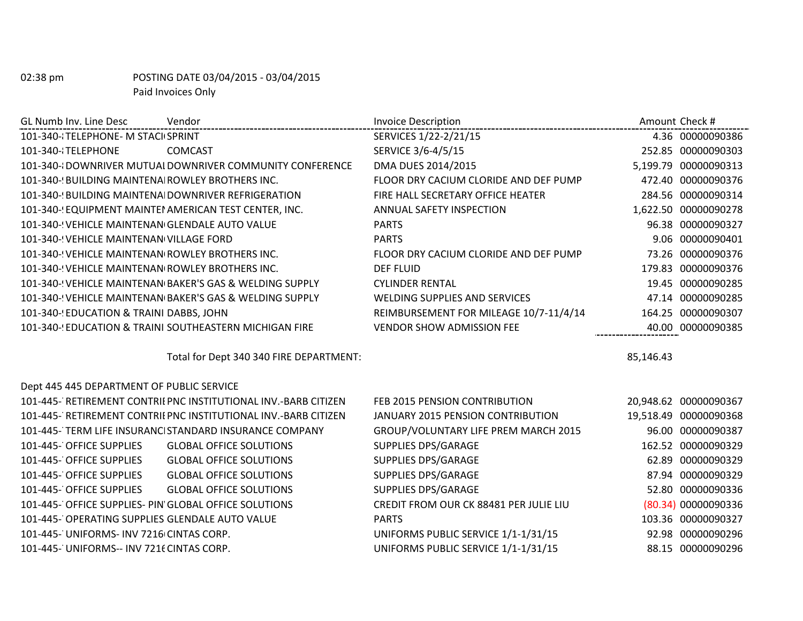| GL Numb Inv. Line Desc                                 | Vendor                                                          | <b>Invoice Description</b>             | Amount Check # |                       |
|--------------------------------------------------------|-----------------------------------------------------------------|----------------------------------------|----------------|-----------------------|
| 101-340-{TELEPHONE- M STACI SPRINT                     |                                                                 | SERVICES 1/22-2/21/15                  |                | 4.36 00000090386      |
| 101-340-{TELEPHONE                                     | <b>COMCAST</b>                                                  | SERVICE 3/6-4/5/15                     |                | 252.85 00000090303    |
|                                                        | 101-340-{DOWNRIVER MUTUAI DOWNRIVER COMMUNITY CONFERENCE        | DMA DUES 2014/2015                     |                | 5,199.79 00000090313  |
| 101-340-! BUILDING MAINTENA ROWLEY BROTHERS INC.       |                                                                 | FLOOR DRY CACIUM CLORIDE AND DEF PUMP  |                | 472.40 00000090376    |
| 101-340-(BUILDING MAINTENA DOWNRIVER REFRIGERATION     |                                                                 | FIRE HALL SECRETARY OFFICE HEATER      |                | 284.56 00000090314    |
| 101-340-! EQUIPMENT MAINTEI AMERICAN TEST CENTER, INC. |                                                                 | ANNUAL SAFETY INSPECTION               |                | 1,622.50 00000090278  |
| 101-340-! VEHICLE MAINTENAN GLENDALE AUTO VALUE        |                                                                 | <b>PARTS</b>                           |                | 96.38 00000090327     |
| 101-340- VEHICLE MAINTENAN VILLAGE FORD                |                                                                 | <b>PARTS</b>                           |                | 9.06 00000090401      |
| 101-340- VEHICLE MAINTENAN ROWLEY BROTHERS INC.        |                                                                 | FLOOR DRY CACIUM CLORIDE AND DEF PUMP  |                | 73.26 00000090376     |
| 101-340-! VEHICLE MAINTENAN ROWLEY BROTHERS INC.       |                                                                 | <b>DEF FLUID</b>                       |                | 179.83 00000090376    |
|                                                        | 101-340-(VEHICLE MAINTENAN BAKER'S GAS & WELDING SUPPLY         | <b>CYLINDER RENTAL</b>                 |                | 19.45 00000090285     |
|                                                        | 101-340-! VEHICLE MAINTENAN BAKER'S GAS & WELDING SUPPLY        | <b>WELDING SUPPLIES AND SERVICES</b>   |                | 47.14 00000090285     |
| 101-340-(EDUCATION & TRAINI DABBS, JOHN                |                                                                 | REIMBURSEMENT FOR MILEAGE 10/7-11/4/14 |                | 164.25 00000090307    |
|                                                        | 101-340- EDUCATION & TRAINI SOUTHEASTERN MICHIGAN FIRE          | <b>VENDOR SHOW ADMISSION FEE</b>       |                | 40.00 00000090385     |
|                                                        |                                                                 |                                        |                |                       |
|                                                        | Total for Dept 340 340 FIRE DEPARTMENT:                         |                                        | 85,146.43      |                       |
| Dept 445 445 DEPARTMENT OF PUBLIC SERVICE              |                                                                 |                                        |                |                       |
|                                                        | 101-445- RETIREMENT CONTRII PNC INSTITUTIONAL INV.-BARB CITIZEN | FEB 2015 PENSION CONTRIBUTION          |                | 20,948.62 00000090367 |
|                                                        | 101-445- RETIREMENT CONTRILPNC INSTITUTIONAL INV.-BARB CITIZEN  | JANUARY 2015 PENSION CONTRIBUTION      |                | 19,518.49 00000090368 |
|                                                        | 101-445- TERM LIFE INSURANCI STANDARD INSURANCE COMPANY         | GROUP/VOLUNTARY LIFE PREM MARCH 2015   |                | 96.00 00000090387     |
| 101-445- OFFICE SUPPLIES                               | <b>GLOBAL OFFICE SOLUTIONS</b>                                  | <b>SUPPLIES DPS/GARAGE</b>             |                | 162.52 00000090329    |
| 101-445- OFFICE SUPPLIES                               | <b>GLOBAL OFFICE SOLUTIONS</b>                                  | <b>SUPPLIES DPS/GARAGE</b>             |                | 62.89 00000090329     |
| 101-445- OFFICE SUPPLIES                               | <b>GLOBAL OFFICE SOLUTIONS</b>                                  | <b>SUPPLIES DPS/GARAGE</b>             |                | 87.94 00000090329     |
| 101-445- OFFICE SUPPLIES                               | <b>GLOBAL OFFICE SOLUTIONS</b>                                  | <b>SUPPLIES DPS/GARAGE</b>             |                | 52.80 00000090336     |
| 101-445- OFFICE SUPPLIES- PIN GLOBAL OFFICE SOLUTIONS  |                                                                 | CREDIT FROM OUR CK 88481 PER JULIE LIU |                | (80.34) 00000090336   |
| 101-445- OPERATING SUPPLIES GLENDALE AUTO VALUE        |                                                                 | <b>PARTS</b>                           |                | 103.36 00000090327    |
| 101-445- UNIFORMS- INV 7216 CINTAS CORP.               |                                                                 | UNIFORMS PUBLIC SERVICE 1/1-1/31/15    |                | 92.98 00000090296     |
| 101-445- UNIFORMS-- INV 7216 CINTAS CORP.              |                                                                 | UNIFORMS PUBLIC SERVICE 1/1-1/31/15    |                | 88.15 00000090296     |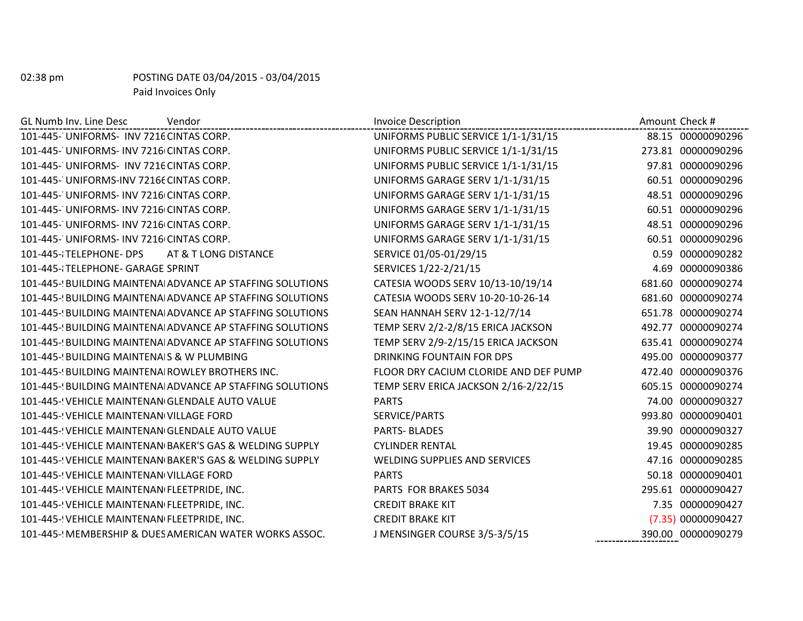| GL Numb Inv. Line Desc<br>Vendor                          | <b>Invoice Description</b>            | Amount Check #     |
|-----------------------------------------------------------|---------------------------------------|--------------------|
| 101-445- UNIFORMS- INV 7216 CINTAS CORP.                  | UNIFORMS PUBLIC SERVICE 1/1-1/31/15   | 88.15 00000090296  |
| 101-445- UNIFORMS- INV 7216 CINTAS CORP.                  | UNIFORMS PUBLIC SERVICE 1/1-1/31/15   | 273.81 00000090296 |
| 101-445- UNIFORMS- INV 7216 CINTAS CORP.                  | UNIFORMS PUBLIC SERVICE 1/1-1/31/15   | 97.81 00000090296  |
| 101-445- UNIFORMS-INV 72166 CINTAS CORP.                  | UNIFORMS GARAGE SERV 1/1-1/31/15      | 60.51 00000090296  |
| 101-445- UNIFORMS- INV 7216 CINTAS CORP.                  | UNIFORMS GARAGE SERV 1/1-1/31/15      | 48.51 00000090296  |
| 101-445- UNIFORMS- INV 7216 CINTAS CORP.                  | UNIFORMS GARAGE SERV 1/1-1/31/15      | 60.51 00000090296  |
| 101-445- UNIFORMS- INV 7216 CINTAS CORP.                  | UNIFORMS GARAGE SERV 1/1-1/31/15      | 48.51 00000090296  |
| 101-445- UNIFORMS- INV 7216 CINTAS CORP.                  | UNIFORMS GARAGE SERV 1/1-1/31/15      | 60.51 00000090296  |
| 101-445-{TELEPHONE-DPS<br>AT & T LONG DISTANCE            | SERVICE 01/05-01/29/15                | 0.59 00000090282   |
| 101-445-{TELEPHONE- GARAGE SPRINT                         | SERVICES 1/22-2/21/15                 | 4.69 00000090386   |
| 101-445-{BUILDING MAINTENA ADVANCE AP STAFFING SOLUTIONS  | CATESIA WOODS SERV 10/13-10/19/14     | 681.60 00000090274 |
| 101-445-9 BUILDING MAINTENALADVANCE AP STAFFING SOLUTIONS | CATESIA WOODS SERV 10-20-10-26-14     | 681.60 00000090274 |
| 101-445-! BUILDING MAINTENA ADVANCE AP STAFFING SOLUTIONS | SEAN HANNAH SERV 12-1-12/7/14         | 651.78 00000090274 |
| 101-445-{BUILDING MAINTENA ADVANCE AP STAFFING SOLUTIONS  | TEMP SERV 2/2-2/8/15 ERICA JACKSON    | 492.77 00000090274 |
| 101-445-{BUILDING MAINTENA ADVANCE AP STAFFING SOLUTIONS  | TEMP SERV 2/9-2/15/15 ERICA JACKSON   | 635.41 00000090274 |
| 101-445-! BUILDING MAINTENAIS & W PLUMBING                | <b>DRINKING FOUNTAIN FOR DPS</b>      | 495.00 00000090377 |
| 101-445-! BUILDING MAINTENA ROWLEY BROTHERS INC.          | FLOOR DRY CACIUM CLORIDE AND DEF PUMP | 472.40 00000090376 |
| 101-445-{BUILDING MAINTENA ADVANCE AP STAFFING SOLUTIONS  | TEMP SERV ERICA JACKSON 2/16-2/22/15  | 605.15 00000090274 |
| 101-445- VEHICLE MAINTENAN GLENDALE AUTO VALUE            | <b>PARTS</b>                          | 74.00 00000090327  |
| 101-445-! VEHICLE MAINTENAN VILLAGE FORD                  | SERVICE/PARTS                         | 993.80 00000090401 |
| 101-445-! VEHICLE MAINTENAN GLENDALE AUTO VALUE           | <b>PARTS-BLADES</b>                   | 39.90 00000090327  |
| 101-445-! VEHICLE MAINTENAN BAKER'S GAS & WELDING SUPPLY  | <b>CYLINDER RENTAL</b>                | 19.45 00000090285  |
| 101-445-! VEHICLE MAINTENAN BAKER'S GAS & WELDING SUPPLY  | WELDING SUPPLIES AND SERVICES         | 47.16 00000090285  |
| 101-445- VEHICLE MAINTENAN VILLAGE FORD                   | <b>PARTS</b>                          | 50.18 00000090401  |
| 101-445-! VEHICLE MAINTENAN FLEETPRIDE, INC.              | PARTS FOR BRAKES 5034                 | 295.61 00000090427 |
| 101-445-! VEHICLE MAINTENAN FLEETPRIDE, INC.              | <b>CREDIT BRAKE KIT</b>               | 7.35 00000090427   |
| 101-445-! VEHICLE MAINTENAN FLEETPRIDE, INC.              | <b>CREDIT BRAKE KIT</b>               | (7.35) 00000090427 |
| 101-445-! MEMBERSHIP & DUES AMERICAN WATER WORKS ASSOC.   | J MENSINGER COURSE 3/5-3/5/15         | 390.00 00000090279 |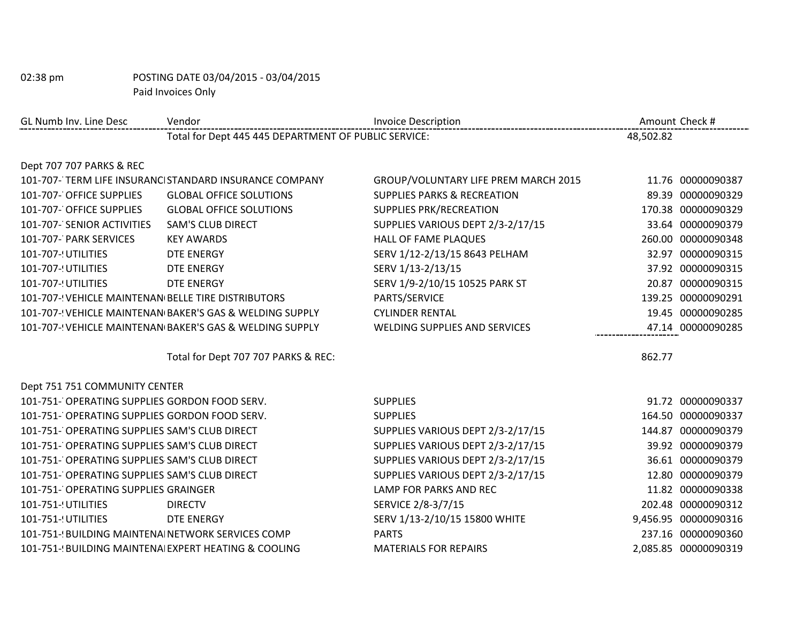| GL Numb Inv. Line Desc                              | Vendor                                                  | <b>Invoice Description</b>             |           | Amount Check #       |
|-----------------------------------------------------|---------------------------------------------------------|----------------------------------------|-----------|----------------------|
|                                                     | Total for Dept 445 445 DEPARTMENT OF PUBLIC SERVICE:    |                                        | 48,502.82 |                      |
| Dept 707 707 PARKS & REC                            |                                                         |                                        |           |                      |
|                                                     | 101-707- TERM LIFE INSURANCI STANDARD INSURANCE COMPANY | GROUP/VOLUNTARY LIFE PREM MARCH 2015   |           | 11.76 00000090387    |
| 101-707- OFFICE SUPPLIES                            | <b>GLOBAL OFFICE SOLUTIONS</b>                          | <b>SUPPLIES PARKS &amp; RECREATION</b> |           | 89.39 00000090329    |
| 101-707- OFFICE SUPPLIES                            | <b>GLOBAL OFFICE SOLUTIONS</b>                          | <b>SUPPLIES PRK/RECREATION</b>         |           | 170.38 00000090329   |
| 101-707- SENIOR ACTIVITIES                          | <b>SAM'S CLUB DIRECT</b>                                | SUPPLIES VARIOUS DEPT 2/3-2/17/15      |           | 33.64 00000090379    |
| 101-707- PARK SERVICES                              | <b>KEY AWARDS</b>                                       | HALL OF FAME PLAQUES                   |           | 260.00 00000090348   |
| 101-707-! UTILITIES                                 | <b>DTE ENERGY</b>                                       | SERV 1/12-2/13/15 8643 PELHAM          |           | 32.97 00000090315    |
| 101-707- UTILITIES                                  | DTE ENERGY                                              | SERV 1/13-2/13/15                      |           | 37.92 00000090315    |
| 101-707-! UTILITIES                                 | <b>DTE ENERGY</b>                                       | SERV 1/9-2/10/15 10525 PARK ST         |           | 20.87 00000090315    |
| 101-707-! VEHICLE MAINTENAN BELLE TIRE DISTRIBUTORS |                                                         | PARTS/SERVICE                          |           | 139.25 00000090291   |
|                                                     | 101-707-'VEHICLE MAINTENAN BAKER'S GAS & WELDING SUPPLY | <b>CYLINDER RENTAL</b>                 |           | 19.45 00000090285    |
|                                                     | 101-707-'VEHICLE MAINTENAN BAKER'S GAS & WELDING SUPPLY | <b>WELDING SUPPLIES AND SERVICES</b>   |           | 47.14 00000090285    |
|                                                     | Total for Dept 707 707 PARKS & REC:                     |                                        | 862.77    |                      |
| Dept 751 751 COMMUNITY CENTER                       |                                                         |                                        |           |                      |
| 101-751- OPERATING SUPPLIES GORDON FOOD SERV.       |                                                         | <b>SUPPLIES</b>                        |           | 91.72 00000090337    |
| 101-751- OPERATING SUPPLIES GORDON FOOD SERV.       |                                                         | <b>SUPPLIES</b>                        |           | 164.50 00000090337   |
| 101-751- OPERATING SUPPLIES SAM'S CLUB DIRECT       |                                                         | SUPPLIES VARIOUS DEPT 2/3-2/17/15      |           | 144.87 00000090379   |
| 101-751- OPERATING SUPPLIES SAM'S CLUB DIRECT       |                                                         | SUPPLIES VARIOUS DEPT 2/3-2/17/15      |           | 39.92 00000090379    |
| 101-751- OPERATING SUPPLIES SAM'S CLUB DIRECT       |                                                         | SUPPLIES VARIOUS DEPT 2/3-2/17/15      |           | 36.61 00000090379    |
| 101-751- OPERATING SUPPLIES SAM'S CLUB DIRECT       |                                                         | SUPPLIES VARIOUS DEPT 2/3-2/17/15      |           | 12.80 00000090379    |
| 101-751- OPERATING SUPPLIES GRAINGER                |                                                         | LAMP FOR PARKS AND REC                 |           | 11.82 00000090338    |
| 101-751-! UTILITIES                                 | <b>DIRECTV</b>                                          | SERVICE 2/8-3/7/15                     |           | 202.48 00000090312   |
| 101-751-! UTILITIES                                 | DTE ENERGY                                              | SERV 1/13-2/10/15 15800 WHITE          |           | 9,456.95 00000090316 |
| 101-751- BUILDING MAINTENA NETWORK SERVICES COMP    |                                                         | <b>PARTS</b>                           |           | 237.16 00000090360   |
|                                                     | 101-751-(BUILDING MAINTENA EXPERT HEATING & COOLING     | <b>MATERIALS FOR REPAIRS</b>           |           | 2,085.85 00000090319 |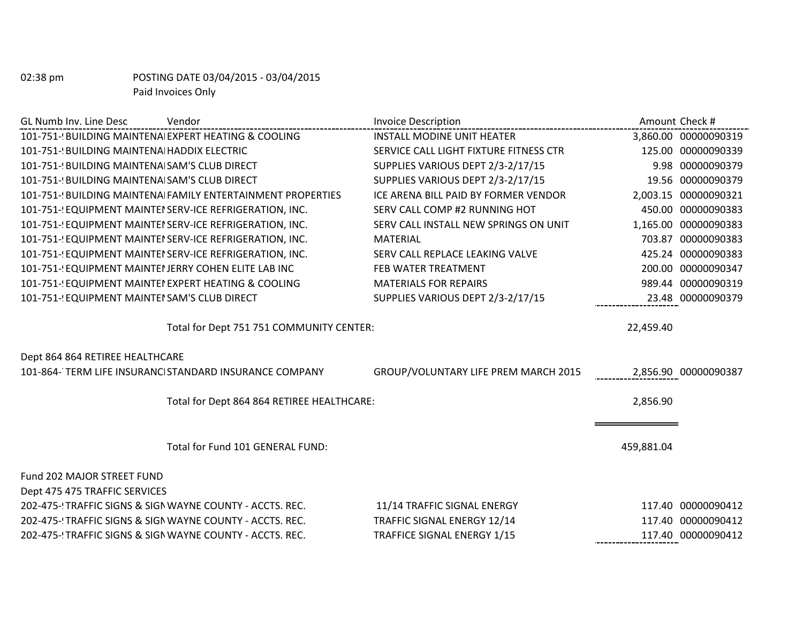| GL Numb Inv. Line Desc<br>Vendor                             | <b>Invoice Description</b>             | Amount Check # |                      |
|--------------------------------------------------------------|----------------------------------------|----------------|----------------------|
| 101-751-(BUILDING MAINTENA EXPERT HEATING & COOLING          | <b>INSTALL MODINE UNIT HEATER</b>      |                | 3,860.00 00000090319 |
| 101-751-! BUILDING MAINTENA HADDIX ELECTRIC                  | SERVICE CALL LIGHT FIXTURE FITNESS CTR |                | 125.00 00000090339   |
| 101-751-! BUILDING MAINTENA SAM'S CLUB DIRECT                | SUPPLIES VARIOUS DEPT 2/3-2/17/15      |                | 9.98 00000090379     |
| 101-751-! BUILDING MAINTENA SAM'S CLUB DIRECT                | SUPPLIES VARIOUS DEPT 2/3-2/17/15      |                | 19.56 00000090379    |
| 101-751-! BUILDING MAINTENAI FAMILY ENTERTAINMENT PROPERTIES | ICE ARENA BILL PAID BY FORMER VENDOR   |                | 2,003.15 00000090321 |
| 101-751- EQUIPMENT MAINTEI SERV-ICE REFRIGERATION, INC.      | SERV CALL COMP #2 RUNNING HOT          |                | 450.00 00000090383   |
| 101-751- EQUIPMENT MAINTEI SERV-ICE REFRIGERATION, INC.      | SERV CALL INSTALL NEW SPRINGS ON UNIT  |                | 1,165.00 00000090383 |
| 101-751-! EQUIPMENT MAINTEI SERV-ICE REFRIGERATION, INC.     | <b>MATERIAL</b>                        |                | 703.87 00000090383   |
| 101-751- EQUIPMENT MAINTEI SERV-ICE REFRIGERATION, INC.      | SERV CALL REPLACE LEAKING VALVE        |                | 425.24 00000090383   |
| 101-751- EQUIPMENT MAINTEI JERRY COHEN ELITE LAB INC         | FEB WATER TREATMENT                    |                | 200.00 00000090347   |
| 101-751- EQUIPMENT MAINTEI EXPERT HEATING & COOLING          | <b>MATERIALS FOR REPAIRS</b>           |                | 989.44 00000090319   |
| 101-751- EQUIPMENT MAINTEI SAM'S CLUB DIRECT                 | SUPPLIES VARIOUS DEPT 2/3-2/17/15      |                | 23.48 00000090379    |
| Total for Dept 751 751 COMMUNITY CENTER:                     |                                        | 22,459.40      |                      |
| Dept 864 864 RETIREE HEALTHCARE                              |                                        |                |                      |
| 101-864-TERM LIFE INSURANCI STANDARD INSURANCE COMPANY       | GROUP/VOLUNTARY LIFE PREM MARCH 2015   |                | 2,856.90 00000090387 |
| Total for Dept 864 864 RETIREE HEALTHCARE:                   |                                        | 2,856.90       |                      |
| Total for Fund 101 GENERAL FUND:                             |                                        | 459,881.04     |                      |
| <b>Fund 202 MAJOR STREET FUND</b>                            |                                        |                |                      |
| Dept 475 475 TRAFFIC SERVICES                                |                                        |                |                      |
| 202-475- 'TRAFFIC SIGNS & SIGN WAYNE COUNTY - ACCTS. REC.    | 11/14 TRAFFIC SIGNAL ENERGY            |                | 117.40 00000090412   |
| 202-475- 'TRAFFIC SIGNS & SIGN WAYNE COUNTY - ACCTS. REC.    | TRAFFIC SIGNAL ENERGY 12/14            |                | 117.40 00000090412   |
| 202-475-! TRAFFIC SIGNS & SIGN WAYNE COUNTY - ACCTS. REC.    | <b>TRAFFICE SIGNAL ENERGY 1/15</b>     |                | 117.40 00000090412   |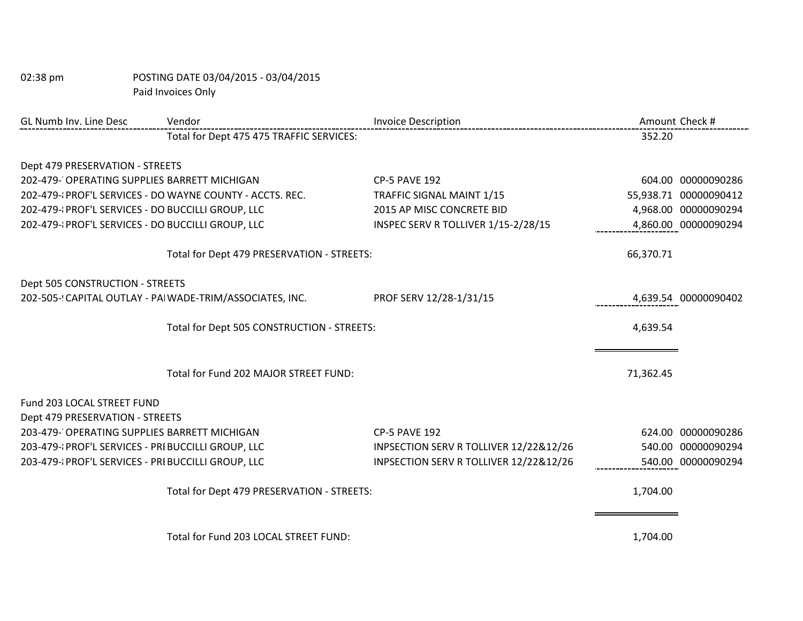| GL Numb Inv. Line Desc                             | Vendor                                                   | <b>Invoice Description</b>             | Amount Check #        |                      |
|----------------------------------------------------|----------------------------------------------------------|----------------------------------------|-----------------------|----------------------|
|                                                    | Total for Dept 475 475 TRAFFIC SERVICES:                 |                                        | 352.20                |                      |
|                                                    |                                                          |                                        |                       |                      |
| Dept 479 PRESERVATION - STREETS                    |                                                          |                                        |                       |                      |
| 202-479- OPERATING SUPPLIES BARRETT MICHIGAN       |                                                          | <b>CP-5 PAVE 192</b>                   |                       | 604.00 00000090286   |
|                                                    | 202-479-{PROF'L SERVICES - DO WAYNE COUNTY - ACCTS. REC. | TRAFFIC SIGNAL MAINT 1/15              | 55,938.71 00000090412 |                      |
| 202-479-{PROF'L SERVICES - DO BUCCILLI GROUP, LLC  |                                                          | 2015 AP MISC CONCRETE BID              |                       | 4,968.00 00000090294 |
| 202-479-{PROF'L SERVICES - DO BUCCILLI GROUP, LLC  |                                                          | INSPEC SERV R TOLLIVER 1/15-2/28/15    |                       | 4,860.00 00000090294 |
|                                                    | Total for Dept 479 PRESERVATION - STREETS:               |                                        | 66,370.71             |                      |
| Dept 505 CONSTRUCTION - STREETS                    |                                                          |                                        |                       |                      |
|                                                    | 202-505-(CAPITAL OUTLAY - PAI WADE-TRIM/ASSOCIATES, INC. | PROF SERV 12/28-1/31/15                |                       | 4,639.54 00000090402 |
| Total for Dept 505 CONSTRUCTION - STREETS:         |                                                          | 4,639.54                               |                       |                      |
|                                                    |                                                          |                                        |                       |                      |
|                                                    |                                                          |                                        |                       |                      |
|                                                    | Total for Fund 202 MAJOR STREET FUND:                    |                                        | 71,362.45             |                      |
| Fund 203 LOCAL STREET FUND                         |                                                          |                                        |                       |                      |
| Dept 479 PRESERVATION - STREETS                    |                                                          |                                        |                       |                      |
| 203-479- OPERATING SUPPLIES BARRETT MICHIGAN       |                                                          | <b>CP-5 PAVE 192</b>                   |                       | 624.00 00000090286   |
| 203-479-{PROF'L SERVICES - PRI BUCCILLI GROUP, LLC |                                                          | INPSECTION SERV R TOLLIVER 12/22&12/26 |                       | 540.00 00000090294   |
| 203-479-{PROF'L SERVICES - PRI BUCCILLI GROUP, LLC |                                                          | INPSECTION SERV R TOLLIVER 12/22&12/26 |                       | 540.00 00000090294   |
|                                                    | Total for Dept 479 PRESERVATION - STREETS:               |                                        | 1,704.00              |                      |
|                                                    | Total for Fund 203 LOCAL STREET FUND:                    |                                        | 1,704.00              |                      |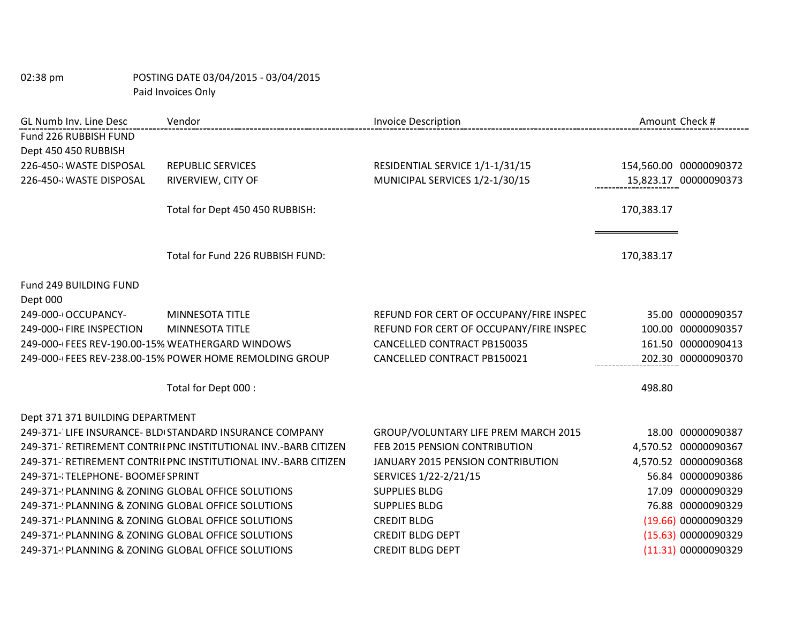| GL Numb Inv. Line Desc                              | Vendor                                                          | <b>Invoice Description</b>              |            | Amount Check #         |
|-----------------------------------------------------|-----------------------------------------------------------------|-----------------------------------------|------------|------------------------|
| Fund 226 RUBBISH FUND                               |                                                                 |                                         |            |                        |
| Dept 450 450 RUBBISH                                |                                                                 |                                         |            |                        |
| 226-450-{WASTE DISPOSAL                             | <b>REPUBLIC SERVICES</b>                                        | RESIDENTIAL SERVICE 1/1-1/31/15         |            | 154,560.00 00000090372 |
| 226-450-¿WASTE DISPOSAL                             | RIVERVIEW, CITY OF                                              | MUNICIPAL SERVICES 1/2-1/30/15          |            | 15,823.17 00000090373  |
|                                                     |                                                                 |                                         |            |                        |
|                                                     | Total for Dept 450 450 RUBBISH:                                 |                                         | 170,383.17 |                        |
|                                                     |                                                                 |                                         |            |                        |
|                                                     | Total for Fund 226 RUBBISH FUND:                                |                                         | 170,383.17 |                        |
| Fund 249 BUILDING FUND                              |                                                                 |                                         |            |                        |
| Dept 000                                            |                                                                 |                                         |            |                        |
| 249-000-I OCCUPANCY-                                | <b>MINNESOTA TITLE</b>                                          | REFUND FOR CERT OF OCCUPANY/FIRE INSPEC |            | 35.00 00000090357      |
| 249-000-(FIRE INSPECTION                            | MINNESOTA TITLE                                                 | REFUND FOR CERT OF OCCUPANY/FIRE INSPEC |            | 100.00 00000090357     |
| 249-000-(FEES REV-190.00-15% WEATHERGARD WINDOWS    |                                                                 | CANCELLED CONTRACT PB150035             |            | 161.50 00000090413     |
|                                                     | 249-000-(FEES REV-238.00-15% POWER HOME REMOLDING GROUP         | CANCELLED CONTRACT PB150021             |            | 202.30 00000090370     |
|                                                     | Total for Dept 000 :                                            |                                         | 498.80     |                        |
|                                                     |                                                                 |                                         |            |                        |
| Dept 371 371 BUILDING DEPARTMENT                    |                                                                 |                                         |            |                        |
|                                                     | 249-371- LIFE INSURANCE- BLD STANDARD INSURANCE COMPANY         | GROUP/VOLUNTARY LIFE PREM MARCH 2015    |            | 18.00 00000090387      |
|                                                     | 249-371- RETIREMENT CONTRII PNC INSTITUTIONAL INV.-BARB CITIZEN | FEB 2015 PENSION CONTRIBUTION           |            | 4,570.52 00000090367   |
|                                                     | 249-371- RETIREMENT CONTRII PNC INSTITUTIONAL INV.-BARB CITIZEN | JANUARY 2015 PENSION CONTRIBUTION       |            | 4,570.52 00000090368   |
| 249-371-{TELEPHONE- BOOMEF SPRINT                   |                                                                 | SERVICES 1/22-2/21/15                   |            | 56.84 00000090386      |
| 249-371-(PLANNING & ZONING GLOBAL OFFICE SOLUTIONS  |                                                                 | <b>SUPPLIES BLDG</b>                    |            | 17.09 00000090329      |
| 249-371-(PLANNING & ZONING GLOBAL OFFICE SOLUTIONS  |                                                                 | <b>SUPPLIES BLDG</b>                    |            | 76.88 00000090329      |
| 249-371-{PLANNING & ZONING GLOBAL OFFICE SOLUTIONS  |                                                                 | <b>CREDIT BLDG</b>                      |            | (19.66) 00000090329    |
| 249-371-! PLANNING & ZONING GLOBAL OFFICE SOLUTIONS |                                                                 | <b>CREDIT BLDG DEPT</b>                 |            | (15.63) 00000090329    |
| 249-371-(PLANNING & ZONING GLOBAL OFFICE SOLUTIONS  |                                                                 | <b>CREDIT BLDG DEPT</b>                 |            | (11.31) 00000090329    |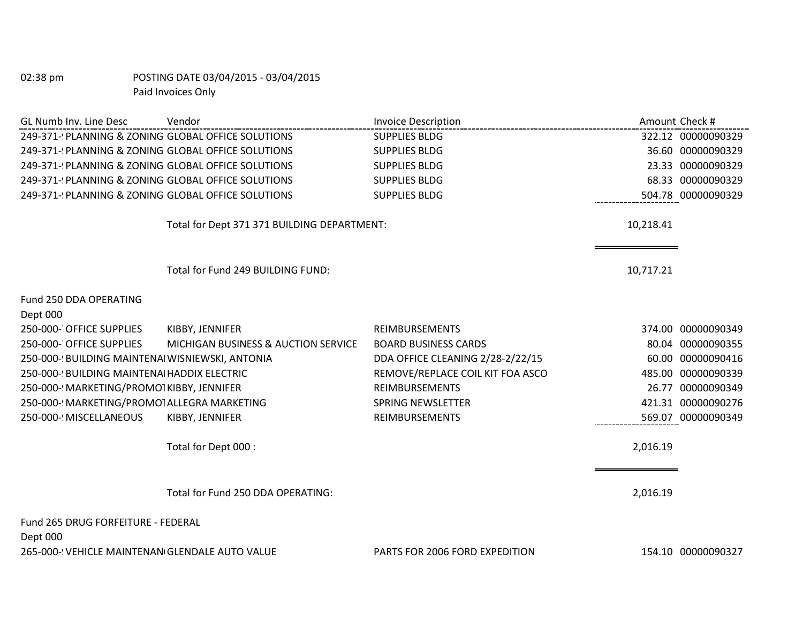| GL Numb Inv. Line Desc                             | Vendor                                      | <b>Invoice Description</b>       | Amount Check # |                    |
|----------------------------------------------------|---------------------------------------------|----------------------------------|----------------|--------------------|
| 249-371-(PLANNING & ZONING GLOBAL OFFICE SOLUTIONS |                                             | <b>SUPPLIES BLDG</b>             |                | 322.12 00000090329 |
| 249-371-(PLANNING & ZONING GLOBAL OFFICE SOLUTIONS |                                             | <b>SUPPLIES BLDG</b>             |                | 36.60 00000090329  |
| 249-371- PLANNING & ZONING GLOBAL OFFICE SOLUTIONS |                                             | <b>SUPPLIES BLDG</b>             |                | 23.33 00000090329  |
| 249-371-(PLANNING & ZONING GLOBAL OFFICE SOLUTIONS |                                             | <b>SUPPLIES BLDG</b>             |                | 68.33 00000090329  |
| 249-371- PLANNING & ZONING GLOBAL OFFICE SOLUTIONS |                                             | <b>SUPPLIES BLDG</b>             |                | 504.78 00000090329 |
|                                                    | Total for Dept 371 371 BUILDING DEPARTMENT: |                                  | 10,218.41      |                    |
|                                                    | Total for Fund 249 BUILDING FUND:           |                                  | 10,717.21      |                    |
| Fund 250 DDA OPERATING<br>Dept 000                 |                                             |                                  |                |                    |
| 250-000- OFFICE SUPPLIES                           | KIBBY, JENNIFER                             | <b>REIMBURSEMENTS</b>            |                | 374.00 00000090349 |
| 250-000- OFFICE SUPPLIES                           | MICHIGAN BUSINESS & AUCTION SERVICE         | <b>BOARD BUSINESS CARDS</b>      |                | 80.04 00000090355  |
| 250-000-! BUILDING MAINTENAI WISNIEWSKI, ANTONIA   |                                             | DDA OFFICE CLEANING 2/28-2/22/15 |                | 60.00 00000090416  |
| 250-000-! BUILDING MAINTENA HADDIX ELECTRIC        |                                             | REMOVE/REPLACE COIL KIT FOA ASCO |                | 485.00 00000090339 |
| 250-000-! MARKETING/PROMOTKIBBY, JENNIFER          |                                             | <b>REIMBURSEMENTS</b>            | 26.77          | 00000090349        |
| 250-000-! MARKETING/PROMOTALLEGRA MARKETING        |                                             | <b>SPRING NEWSLETTER</b>         |                | 421.31 00000090276 |
| 250-000-! MISCELLANEOUS                            | KIBBY, JENNIFER                             | <b>REIMBURSEMENTS</b>            |                | 569.07 00000090349 |
|                                                    | Total for Dept 000 :                        |                                  | 2,016.19       |                    |
|                                                    | Total for Fund 250 DDA OPERATING:           |                                  | 2,016.19       |                    |
| Fund 265 DRUG FORFEITURE - FEDERAL<br>Dept 000     |                                             |                                  |                |                    |
| 265-000-! VEHICLE MAINTENAN GLENDALE AUTO VALUE    |                                             | PARTS FOR 2006 FORD EXPEDITION   |                | 154.10 00000090327 |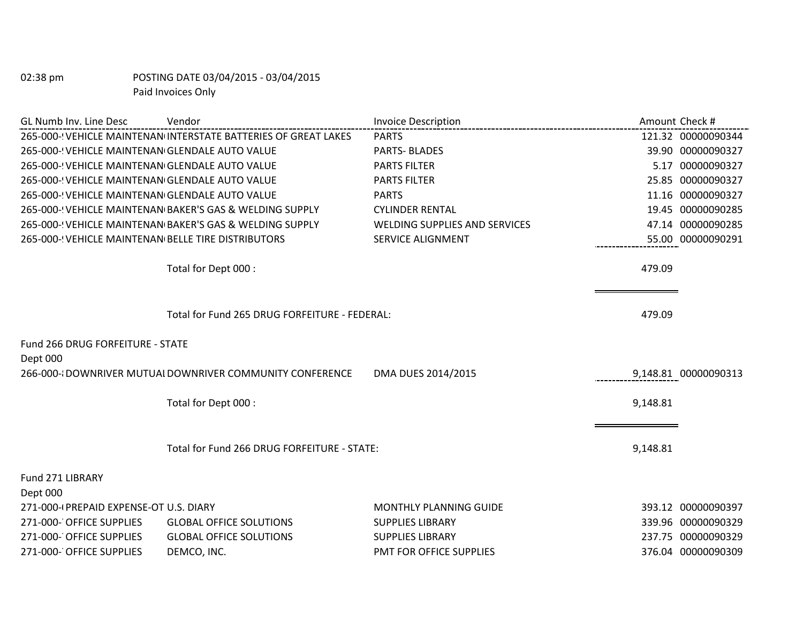| GL Numb Inv. Line Desc                              | Vendor                                                          | <b>Invoice Description</b>           |          | Amount Check #       |
|-----------------------------------------------------|-----------------------------------------------------------------|--------------------------------------|----------|----------------------|
|                                                     | 265-000-! VEHICLE MAINTENAN INTERSTATE BATTERIES OF GREAT LAKES | <b>PARTS</b>                         |          | 121.32 00000090344   |
| 265-000-! VEHICLE MAINTENAN GLENDALE AUTO VALUE     |                                                                 | <b>PARTS-BLADES</b>                  |          | 39.90 00000090327    |
| 265-000-! VEHICLE MAINTENAN GLENDALE AUTO VALUE     |                                                                 | <b>PARTS FILTER</b>                  |          | 5.17 00000090327     |
| 265-000-! VEHICLE MAINTENAN GLENDALE AUTO VALUE     |                                                                 | <b>PARTS FILTER</b>                  |          | 25.85 00000090327    |
| 265-000-! VEHICLE MAINTENAN GLENDALE AUTO VALUE     |                                                                 | <b>PARTS</b>                         |          | 11.16 00000090327    |
|                                                     | 265-000-! VEHICLE MAINTENAN BAKER'S GAS & WELDING SUPPLY        | <b>CYLINDER RENTAL</b>               |          | 19.45 00000090285    |
|                                                     | 265-000-! VEHICLE MAINTENAN BAKER'S GAS & WELDING SUPPLY        | <b>WELDING SUPPLIES AND SERVICES</b> |          | 47.14 00000090285    |
| 265-000-! VEHICLE MAINTENAN BELLE TIRE DISTRIBUTORS |                                                                 | <b>SERVICE ALIGNMENT</b>             |          | 55.00 00000090291    |
|                                                     | Total for Dept 000 :                                            |                                      | 479.09   |                      |
|                                                     | Total for Fund 265 DRUG FORFEITURE - FEDERAL:                   |                                      | 479.09   |                      |
| Fund 266 DRUG FORFEITURE - STATE                    |                                                                 |                                      |          |                      |
| Dept 000                                            |                                                                 |                                      |          |                      |
|                                                     | 266-000-{DOWNRIVER MUTUALDOWNRIVER COMMUNITY CONFERENCE         | DMA DUES 2014/2015                   |          | 9,148.81 00000090313 |
|                                                     | Total for Dept 000 :                                            |                                      | 9,148.81 |                      |
|                                                     |                                                                 |                                      |          |                      |
|                                                     | Total for Fund 266 DRUG FORFEITURE - STATE:                     |                                      | 9,148.81 |                      |
| Fund 271 LIBRARY                                    |                                                                 |                                      |          |                      |
| Dept 000                                            |                                                                 |                                      |          |                      |
| 271-000-(PREPAID EXPENSE-OT U.S. DIARY              |                                                                 | <b>MONTHLY PLANNING GUIDE</b>        |          | 393.12 00000090397   |
| 271-000- OFFICE SUPPLIES                            | <b>GLOBAL OFFICE SOLUTIONS</b>                                  | <b>SUPPLIES LIBRARY</b>              |          | 339.96 00000090329   |
| 271-000- OFFICE SUPPLIES                            | <b>GLOBAL OFFICE SOLUTIONS</b>                                  | <b>SUPPLIES LIBRARY</b>              |          | 237.75 00000090329   |
| 271-000- OFFICE SUPPLIES                            | DEMCO, INC.                                                     | PMT FOR OFFICE SUPPLIES              |          | 376.04 00000090309   |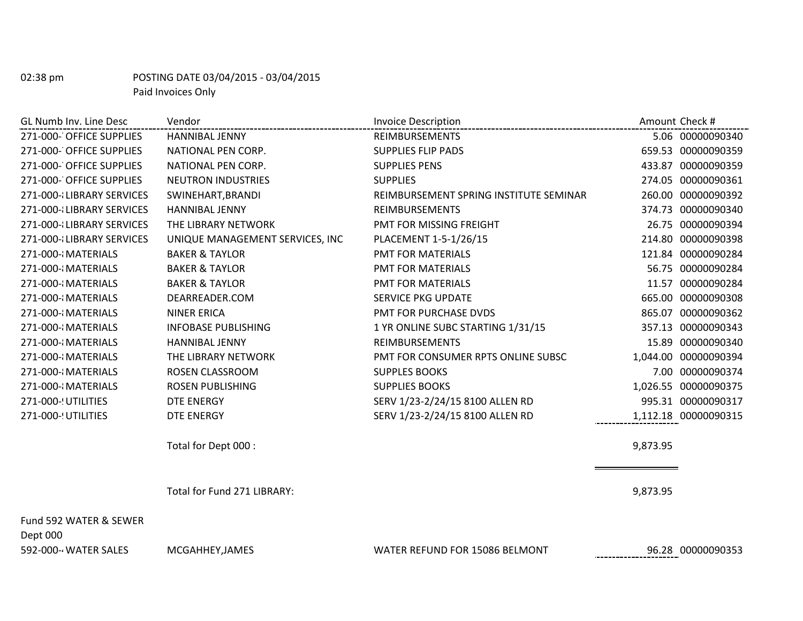| 271-000- OFFICE SUPPLIES<br><b>HANNIBAL JENNY</b><br>REIMBURSEMENTS<br>271-000- OFFICE SUPPLIES<br>NATIONAL PEN CORP.<br><b>SUPPLIES FLIP PADS</b><br>271-000- OFFICE SUPPLIES<br>NATIONAL PEN CORP.<br><b>SUPPLIES PENS</b><br>271-000- OFFICE SUPPLIES<br><b>NEUTRON INDUSTRIES</b><br><b>SUPPLIES</b><br>271-000-{LIBRARY SERVICES<br>SWINEHART, BRANDI<br>REIMBURSEMENT SPRING INSTITUTE SEMINAR<br>271-000-{LIBRARY SERVICES<br><b>HANNIBAL JENNY</b><br><b>REIMBURSEMENTS</b><br>PMT FOR MISSING FREIGHT<br>271-000-{LIBRARY SERVICES<br>THE LIBRARY NETWORK<br>PLACEMENT 1-5-1/26/15<br>271-000-{LIBRARY SERVICES<br>UNIQUE MANAGEMENT SERVICES, INC<br>271-000-{MATERIALS<br><b>BAKER &amp; TAYLOR</b><br><b>PMT FOR MATERIALS</b><br>271-000-{MATERIALS<br><b>BAKER &amp; TAYLOR</b><br><b>PMT FOR MATERIALS</b><br>PMT FOR MATERIALS<br>271-000-{MATERIALS<br><b>BAKER &amp; TAYLOR</b><br>271-000-{MATERIALS<br><b>SERVICE PKG UPDATE</b><br>DEARREADER.COM |                      |
|------------------------------------------------------------------------------------------------------------------------------------------------------------------------------------------------------------------------------------------------------------------------------------------------------------------------------------------------------------------------------------------------------------------------------------------------------------------------------------------------------------------------------------------------------------------------------------------------------------------------------------------------------------------------------------------------------------------------------------------------------------------------------------------------------------------------------------------------------------------------------------------------------------------------------------------------------------------------|----------------------|
|                                                                                                                                                                                                                                                                                                                                                                                                                                                                                                                                                                                                                                                                                                                                                                                                                                                                                                                                                                        | 5.06 00000090340     |
|                                                                                                                                                                                                                                                                                                                                                                                                                                                                                                                                                                                                                                                                                                                                                                                                                                                                                                                                                                        | 659.53 00000090359   |
|                                                                                                                                                                                                                                                                                                                                                                                                                                                                                                                                                                                                                                                                                                                                                                                                                                                                                                                                                                        | 433.87 00000090359   |
|                                                                                                                                                                                                                                                                                                                                                                                                                                                                                                                                                                                                                                                                                                                                                                                                                                                                                                                                                                        | 274.05 00000090361   |
|                                                                                                                                                                                                                                                                                                                                                                                                                                                                                                                                                                                                                                                                                                                                                                                                                                                                                                                                                                        | 260.00 00000090392   |
|                                                                                                                                                                                                                                                                                                                                                                                                                                                                                                                                                                                                                                                                                                                                                                                                                                                                                                                                                                        | 374.73 00000090340   |
|                                                                                                                                                                                                                                                                                                                                                                                                                                                                                                                                                                                                                                                                                                                                                                                                                                                                                                                                                                        | 26.75 00000090394    |
|                                                                                                                                                                                                                                                                                                                                                                                                                                                                                                                                                                                                                                                                                                                                                                                                                                                                                                                                                                        | 214.80 00000090398   |
|                                                                                                                                                                                                                                                                                                                                                                                                                                                                                                                                                                                                                                                                                                                                                                                                                                                                                                                                                                        | 121.84 00000090284   |
|                                                                                                                                                                                                                                                                                                                                                                                                                                                                                                                                                                                                                                                                                                                                                                                                                                                                                                                                                                        | 56.75 00000090284    |
|                                                                                                                                                                                                                                                                                                                                                                                                                                                                                                                                                                                                                                                                                                                                                                                                                                                                                                                                                                        | 11.57 00000090284    |
|                                                                                                                                                                                                                                                                                                                                                                                                                                                                                                                                                                                                                                                                                                                                                                                                                                                                                                                                                                        | 665.00 00000090308   |
| PMT FOR PURCHASE DVDS<br>271-000-{MATERIALS<br><b>NINER ERICA</b>                                                                                                                                                                                                                                                                                                                                                                                                                                                                                                                                                                                                                                                                                                                                                                                                                                                                                                      | 865.07 00000090362   |
| 271-000-{MATERIALS<br><b>INFOBASE PUBLISHING</b><br>1 YR ONLINE SUBC STARTING 1/31/15                                                                                                                                                                                                                                                                                                                                                                                                                                                                                                                                                                                                                                                                                                                                                                                                                                                                                  | 357.13 00000090343   |
| 271-000-{MATERIALS<br><b>HANNIBAL JENNY</b><br><b>REIMBURSEMENTS</b>                                                                                                                                                                                                                                                                                                                                                                                                                                                                                                                                                                                                                                                                                                                                                                                                                                                                                                   | 15.89 00000090340    |
| 271-000-{MATERIALS<br>THE LIBRARY NETWORK<br>PMT FOR CONSUMER RPTS ONLINE SUBSC                                                                                                                                                                                                                                                                                                                                                                                                                                                                                                                                                                                                                                                                                                                                                                                                                                                                                        | 1,044.00 00000090394 |
| 271-000-{MATERIALS<br>ROSEN CLASSROOM<br><b>SUPPLES BOOKS</b>                                                                                                                                                                                                                                                                                                                                                                                                                                                                                                                                                                                                                                                                                                                                                                                                                                                                                                          | 7.00 00000090374     |
| <b>ROSEN PUBLISHING</b><br><b>SUPPLIES BOOKS</b><br>271-000-{MATERIALS                                                                                                                                                                                                                                                                                                                                                                                                                                                                                                                                                                                                                                                                                                                                                                                                                                                                                                 | 1,026.55 00000090375 |
| SERV 1/23-2/24/15 8100 ALLEN RD<br>271-000-! UTILITIES<br><b>DTE ENERGY</b>                                                                                                                                                                                                                                                                                                                                                                                                                                                                                                                                                                                                                                                                                                                                                                                                                                                                                            | 995.31 00000090317   |
| 271-000-! UTILITIES<br>SERV 1/23-2/24/15 8100 ALLEN RD<br><b>DTE ENERGY</b>                                                                                                                                                                                                                                                                                                                                                                                                                                                                                                                                                                                                                                                                                                                                                                                                                                                                                            | 1,112.18 00000090315 |
| Total for Dept 000 :                                                                                                                                                                                                                                                                                                                                                                                                                                                                                                                                                                                                                                                                                                                                                                                                                                                                                                                                                   | 9,873.95             |
|                                                                                                                                                                                                                                                                                                                                                                                                                                                                                                                                                                                                                                                                                                                                                                                                                                                                                                                                                                        |                      |
| Total for Fund 271 LIBRARY:                                                                                                                                                                                                                                                                                                                                                                                                                                                                                                                                                                                                                                                                                                                                                                                                                                                                                                                                            | 9,873.95             |
| Fund 592 WATER & SEWER<br>Dept 000                                                                                                                                                                                                                                                                                                                                                                                                                                                                                                                                                                                                                                                                                                                                                                                                                                                                                                                                     |                      |

#### 592-000-4 WATER SALES MCGAHHEY,JAMES WATER REFUND FOR 15086 BELMONT 96.28 00000090353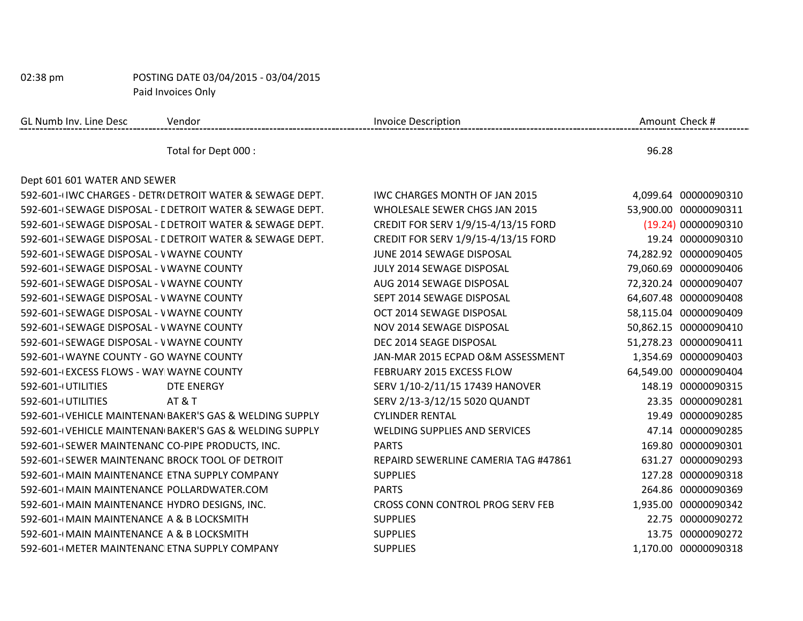| GL Numb Inv. Line Desc                           | Vendor                                                     | <b>Invoice Description</b>              |       | Amount Check #        |
|--------------------------------------------------|------------------------------------------------------------|-----------------------------------------|-------|-----------------------|
|                                                  | Total for Dept 000 :                                       |                                         | 96.28 |                       |
| Dept 601 601 WATER AND SEWER                     |                                                            |                                         |       |                       |
|                                                  | 592-601-I IWC CHARGES - DETRI DETROIT WATER & SEWAGE DEPT. | <b>IWC CHARGES MONTH OF JAN 2015</b>    |       | 4,099.64 00000090310  |
|                                                  | 592-601-(SEWAGE DISPOSAL - L DETROIT WATER & SEWAGE DEPT.  | WHOLESALE SEWER CHGS JAN 2015           |       | 53,900.00 00000090311 |
|                                                  | 592-601-(SEWAGE DISPOSAL - L DETROIT WATER & SEWAGE DEPT.  | CREDIT FOR SERV 1/9/15-4/13/15 FORD     |       | (19.24) 00000090310   |
|                                                  | 592-601-(SEWAGE DISPOSAL - L DETROIT WATER & SEWAGE DEPT.  | CREDIT FOR SERV 1/9/15-4/13/15 FORD     |       | 19.24 00000090310     |
| 592-601-(SEWAGE DISPOSAL - V WAYNE COUNTY        |                                                            | JUNE 2014 SEWAGE DISPOSAL               |       | 74,282.92 00000090405 |
| 592-601-(SEWAGE DISPOSAL - V WAYNE COUNTY        |                                                            | JULY 2014 SEWAGE DISPOSAL               |       | 79,060.69 00000090406 |
| 592-601-(SEWAGE DISPOSAL - V WAYNE COUNTY        |                                                            | AUG 2014 SEWAGE DISPOSAL                |       | 72,320.24 00000090407 |
| 592-601-(SEWAGE DISPOSAL - V WAYNE COUNTY        |                                                            | SEPT 2014 SEWAGE DISPOSAL               |       | 64,607.48 00000090408 |
| 592-601-(SEWAGE DISPOSAL - V WAYNE COUNTY        |                                                            | OCT 2014 SEWAGE DISPOSAL                |       | 58,115.04 00000090409 |
| 592-601-(SEWAGE DISPOSAL - VWAYNE COUNTY         |                                                            | NOV 2014 SEWAGE DISPOSAL                |       | 50,862.15 00000090410 |
| 592-601-(SEWAGE DISPOSAL - V WAYNE COUNTY        |                                                            | DEC 2014 SEAGE DISPOSAL                 |       | 51,278.23 00000090411 |
| 592-601-(WAYNE COUNTY - GO WAYNE COUNTY          |                                                            | JAN-MAR 2015 ECPAD O&M ASSESSMENT       |       | 1,354.69 00000090403  |
| 592-601-(EXCESS FLOWS - WAY WAYNE COUNTY         |                                                            | FEBRUARY 2015 EXCESS FLOW               |       | 64,549.00 00000090404 |
| 592-601-(UTILITIES                               | DTE ENERGY                                                 | SERV 1/10-2/11/15 17439 HANOVER         |       | 148.19 00000090315    |
| 592-601-(UTILITIES                               | <b>AT &amp; T</b>                                          | SERV 2/13-3/12/15 5020 QUANDT           |       | 23.35 00000090281     |
|                                                  | 592-601-(VEHICLE MAINTENAN BAKER'S GAS & WELDING SUPPLY    | <b>CYLINDER RENTAL</b>                  |       | 19.49 00000090285     |
|                                                  | 592-601-(VEHICLE MAINTENAN BAKER'S GAS & WELDING SUPPLY    | <b>WELDING SUPPLIES AND SERVICES</b>    |       | 47.14 00000090285     |
| 592-601-(SEWER MAINTENANC CO-PIPE PRODUCTS, INC. |                                                            | <b>PARTS</b>                            |       | 169.80 00000090301    |
| 592-601-(SEWER MAINTENANC BROCK TOOL OF DETROIT  |                                                            | REPAIRD SEWERLINE CAMERIA TAG #47861    |       | 631.27 00000090293    |
| 592-601-(MAIN MAINTENANCE ETNA SUPPLY COMPANY    |                                                            | <b>SUPPLIES</b>                         |       | 127.28 00000090318    |
| 592-601-(MAIN MAINTENANCE POLLARDWATER.COM       |                                                            | <b>PARTS</b>                            |       | 264.86 00000090369    |
| 592-601-(MAIN MAINTENANCE HYDRO DESIGNS, INC.    |                                                            | <b>CROSS CONN CONTROL PROG SERV FEB</b> |       | 1,935.00 00000090342  |
| 592-601-(MAIN MAINTENANCE A & B LOCKSMITH        |                                                            | <b>SUPPLIES</b>                         |       | 22.75 00000090272     |
| 592-601-(MAIN MAINTENANCE A & B LOCKSMITH        |                                                            | <b>SUPPLIES</b>                         |       | 13.75 00000090272     |
| 592-601-(METER MAINTENANC ETNA SUPPLY COMPANY    |                                                            | <b>SUPPLIES</b>                         |       | 1,170.00 00000090318  |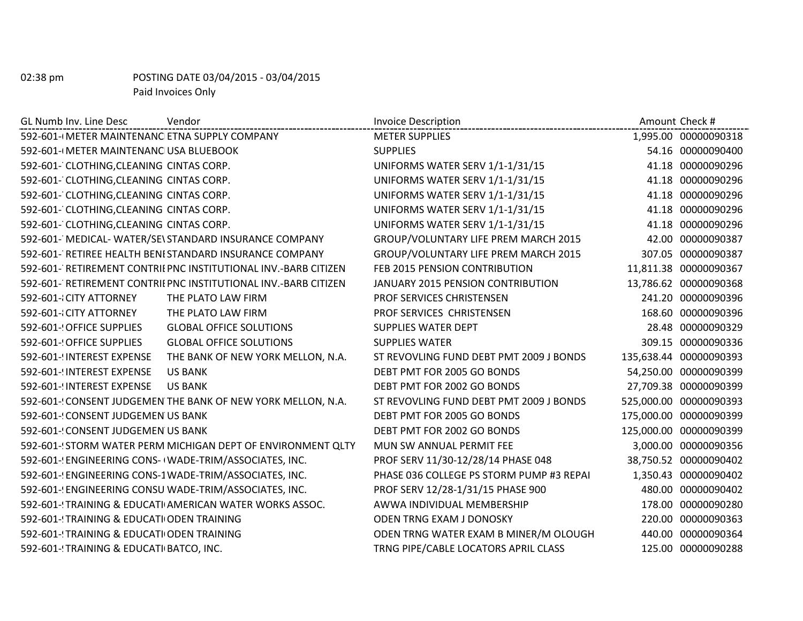| GL Numb Inv. Line Desc<br>Vendor<br>--------------------------- | <b>Invoice Description</b>               | Amount Check #         |
|-----------------------------------------------------------------|------------------------------------------|------------------------|
| 592-601-(METER MAINTENANC ETNA SUPPLY COMPANY                   | <b>METER SUPPLIES</b>                    | 1,995.00 00000090318   |
| 592-601-(METER MAINTENANC USA BLUEBOOK                          | <b>SUPPLIES</b>                          | 54.16 00000090400      |
| 592-601- CLOTHING, CLEANING CINTAS CORP.                        | UNIFORMS WATER SERV 1/1-1/31/15          | 41.18 00000090296      |
| 592-601- CLOTHING, CLEANING CINTAS CORP.                        | UNIFORMS WATER SERV 1/1-1/31/15          | 41.18 00000090296      |
| 592-601- CLOTHING, CLEANING CINTAS CORP.                        | UNIFORMS WATER SERV 1/1-1/31/15          | 41.18 00000090296      |
| 592-601- CLOTHING, CLEANING CINTAS CORP.                        | UNIFORMS WATER SERV 1/1-1/31/15          | 41.18 00000090296      |
| 592-601- CLOTHING, CLEANING CINTAS CORP.                        | UNIFORMS WATER SERV 1/1-1/31/15          | 41.18 00000090296      |
| 592-601- MEDICAL- WATER/SE\ STANDARD INSURANCE COMPANY          | GROUP/VOLUNTARY LIFE PREM MARCH 2015     | 42.00 00000090387      |
| 592-601- RETIREE HEALTH BENI STANDARD INSURANCE COMPANY         | GROUP/VOLUNTARY LIFE PREM MARCH 2015     | 307.05 00000090387     |
| 592-601- RETIREMENT CONTRII PNC INSTITUTIONAL INV.-BARB CITIZEN | FEB 2015 PENSION CONTRIBUTION            | 11,811.38 00000090367  |
| 592-601- RETIREMENT CONTRII PNC INSTITUTIONAL INV.-BARB CITIZEN | JANUARY 2015 PENSION CONTRIBUTION        | 13,786.62 00000090368  |
| 592-601-{CITY ATTORNEY<br>THE PLATO LAW FIRM                    | <b>PROF SERVICES CHRISTENSEN</b>         | 241.20 00000090396     |
| 592-601-{CITY ATTORNEY<br>THE PLATO LAW FIRM                    | PROF SERVICES CHRISTENSEN                | 168.60 00000090396     |
| 592-601-! OFFICE SUPPLIES<br><b>GLOBAL OFFICE SOLUTIONS</b>     | <b>SUPPLIES WATER DEPT</b>               | 28.48 00000090329      |
| 592-601-! OFFICE SUPPLIES<br><b>GLOBAL OFFICE SOLUTIONS</b>     | <b>SUPPLIES WATER</b>                    | 309.15 00000090336     |
| 592-601-(INTEREST EXPENSE<br>THE BANK OF NEW YORK MELLON, N.A.  | ST REVOVLING FUND DEBT PMT 2009 J BONDS  | 135,638.44 00000090393 |
| 592-601-(INTEREST EXPENSE<br><b>US BANK</b>                     | DEBT PMT FOR 2005 GO BONDS               | 54,250.00 00000090399  |
| 592-601-! INTEREST EXPENSE<br><b>US BANK</b>                    | DEBT PMT FOR 2002 GO BONDS               | 27,709.38 00000090399  |
| 592-601-(CONSENT JUDGEMEN THE BANK OF NEW YORK MELLON, N.A.     | ST REVOVLING FUND DEBT PMT 2009 J BONDS  | 525,000.00 00000090393 |
| 592-601-'CONSENT JUDGEMEN US BANK                               | DEBT PMT FOR 2005 GO BONDS               | 175,000.00 00000090399 |
| 592-601-! CONSENT JUDGEMEN US BANK                              | DEBT PMT FOR 2002 GO BONDS               | 125,000.00 00000090399 |
| 592-601-STORM WATER PERM MICHIGAN DEPT OF ENVIRONMENT QLTY      | MUN SW ANNUAL PERMIT FEE                 | 3,000.00 00000090356   |
| 592-601-! ENGINEERING CONS- I WADE-TRIM/ASSOCIATES, INC.        | PROF SERV 11/30-12/28/14 PHASE 048       | 38,750.52 00000090402  |
| 592-601-! ENGINEERING CONS-1 WADE-TRIM/ASSOCIATES, INC.         | PHASE 036 COLLEGE PS STORM PUMP #3 REPAI | 1,350.43 00000090402   |
| 592-601-(ENGINEERING CONSU WADE-TRIM/ASSOCIATES, INC.           | PROF SERV 12/28-1/31/15 PHASE 900        | 480.00 00000090402     |
| 592-601-! TRAINING & EDUCATI AMERICAN WATER WORKS ASSOC.        | AWWA INDIVIDUAL MEMBERSHIP               | 178.00 00000090280     |
| 592-601-'TRAINING & EDUCATI ODEN TRAINING                       | <b>ODEN TRNG EXAM J DONOSKY</b>          | 220.00 00000090363     |
| 592-601-'TRAINING & EDUCATI ODEN TRAINING                       | ODEN TRNG WATER EXAM B MINER/M OLOUGH    | 440.00 00000090364     |
| 592-601-'TRAINING & EDUCATI BATCO, INC.                         | TRNG PIPE/CABLE LOCATORS APRIL CLASS     | 125.00 00000090288     |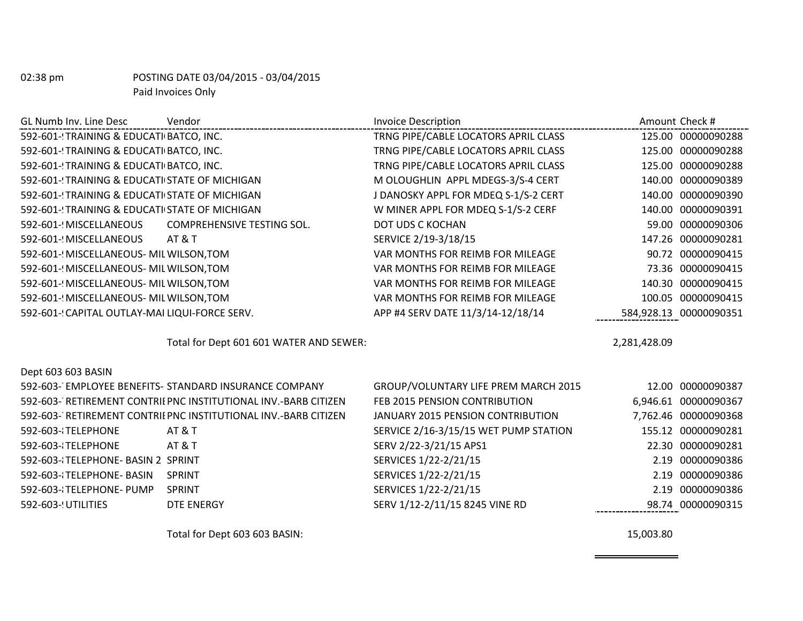| GL Numb Inv. Line Desc                         | Vendor                                  | <b>Invoice Description</b>           |              | Amount Check #         |
|------------------------------------------------|-----------------------------------------|--------------------------------------|--------------|------------------------|
| 592-601-! TRAINING & EDUCATI BATCO, INC.       |                                         | TRNG PIPE/CABLE LOCATORS APRIL CLASS |              | 125.00 00000090288     |
| 592-601-YRAINING & EDUCATI BATCO, INC.         |                                         | TRNG PIPE/CABLE LOCATORS APRIL CLASS |              | 125.00 00000090288     |
| 592-601-YRAINING & EDUCATI BATCO, INC.         |                                         | TRNG PIPE/CABLE LOCATORS APRIL CLASS |              | 125.00 00000090288     |
| 592-601-'TRAINING & EDUCATI STATE OF MICHIGAN  |                                         | M OLOUGHLIN APPL MDEGS-3/S-4 CERT    |              | 140.00 00000090389     |
| 592-601-'TRAINING & EDUCATI STATE OF MICHIGAN  |                                         | J DANOSKY APPL FOR MDEQ S-1/S-2 CERT |              | 140.00 00000090390     |
| 592-601-'TRAINING & EDUCATI STATE OF MICHIGAN  |                                         | W MINER APPL FOR MDEQ S-1/S-2 CERF   |              | 140.00 00000090391     |
| 592-601-! MISCELLANEOUS                        | COMPREHENSIVE TESTING SOL.              | DOT UDS C KOCHAN                     |              | 59.00 00000090306      |
| 592-601-! MISCELLANEOUS                        | AT & T                                  | SERVICE 2/19-3/18/15                 |              | 147.26 00000090281     |
| 592-601-! MISCELLANEOUS- MIL WILSON, TOM       |                                         | VAR MONTHS FOR REIMB FOR MILEAGE     |              | 90.72 00000090415      |
| 592-601-! MISCELLANEOUS- MIL WILSON, TOM       |                                         | VAR MONTHS FOR REIMB FOR MILEAGE     |              | 73.36 00000090415      |
| 592-601-! MISCELLANEOUS- MIL WILSON, TOM       |                                         | VAR MONTHS FOR REIMB FOR MILEAGE     | 140.30       | 00000090415            |
| 592-601-! MISCELLANEOUS- MIL WILSON, TOM       |                                         | VAR MONTHS FOR REIMB FOR MILEAGE     |              | 100.05 00000090415     |
| 592-601-! CAPITAL OUTLAY-MAI LIQUI-FORCE SERV. |                                         | APP #4 SERV DATE 11/3/14-12/18/14    |              | 584,928.13 00000090351 |
|                                                | Total for Dept 601 601 WATER AND SEWER: |                                      | 2,281,428.09 |                        |

| Dept 603 603 BASIN                 |                                                                 |                                       |                      |
|------------------------------------|-----------------------------------------------------------------|---------------------------------------|----------------------|
|                                    | 592-603- EMPLOYEE BENEFITS- STANDARD INSURANCE COMPANY          | GROUP/VOLUNTARY LIFE PREM MARCH 2015  | 12.00 00000090387    |
|                                    | 592-603- RETIREMENT CONTRIL PNC INSTITUTIONAL INV.-BARB CITIZEN | FEB 2015 PENSION CONTRIBUTION         | 6,946.61 00000090367 |
|                                    | 592-603- RETIREMENT CONTRII PNC INSTITUTIONAL INV.-BARB CITIZEN | JANUARY 2015 PENSION CONTRIBUTION     | 7,762.46 00000090368 |
| 592-603-{TELEPHONE                 | AT & T                                                          | SERVICE 2/16-3/15/15 WET PUMP STATION | 155.12 00000090281   |
| 592-603-{TELEPHONE                 | AT & T                                                          | SERV 2/22-3/21/15 APS1                | 22.30 00000090281    |
| 592-603-{TELEPHONE- BASIN 2 SPRINT |                                                                 | SERVICES 1/22-2/21/15                 | 2.19 00000090386     |
| 592-603-{TELEPHONE- BASIN          | <b>SPRINT</b>                                                   | SERVICES 1/22-2/21/15                 | 2.19 00000090386     |
| 592-603-{TELEPHONE- PUMP           | <b>SPRINT</b>                                                   | SERVICES 1/22-2/21/15                 | 2.19 00000090386     |
| 592-603-! UTILITIES                | DTE ENERGY                                                      | SERV 1/12-2/11/15 8245 VINE RD        | 98.74 00000090315    |

Total for Dept 603 603 BASIN: 15,003.80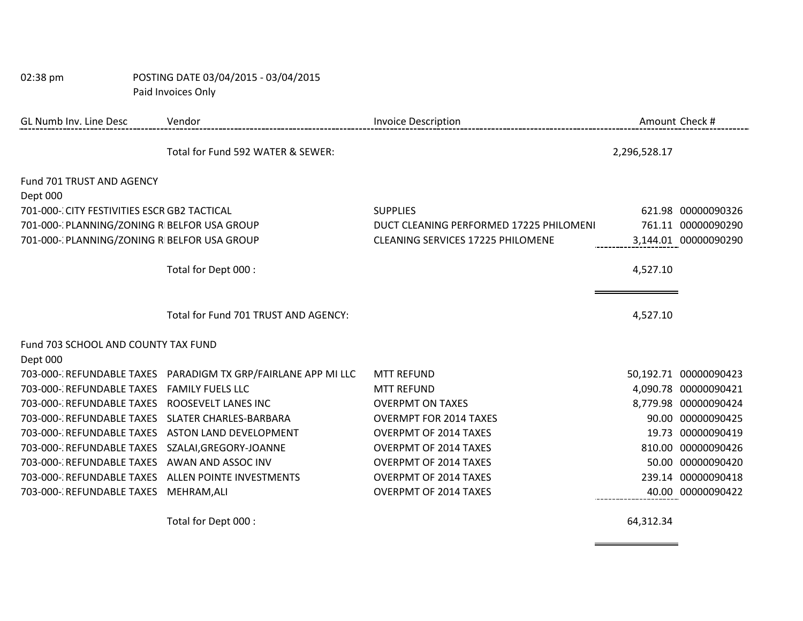| 02:38 pm                                     | POSTING DATE 03/04/2015 - 03/04/2015                          |                                          |              |                       |
|----------------------------------------------|---------------------------------------------------------------|------------------------------------------|--------------|-----------------------|
|                                              | Paid Invoices Only                                            |                                          |              |                       |
| GL Numb Inv. Line Desc                       | Vendor                                                        | <b>Invoice Description</b>               |              | Amount Check #        |
|                                              | Total for Fund 592 WATER & SEWER:                             |                                          | 2,296,528.17 |                       |
| Fund 701 TRUST AND AGENCY                    |                                                               |                                          |              |                       |
| Dept 000                                     |                                                               |                                          |              |                       |
| 701-000-CCITY FESTIVITIES ESCR GB2 TACTICAL  |                                                               | <b>SUPPLIES</b>                          |              | 621.98 00000090326    |
| 701-000-' PLANNING/ZONING R BELFOR USA GROUP |                                                               | DUCT CLEANING PERFORMED 17225 PHILOMENI  |              | 761.11 00000090290    |
| 701-000-' PLANNING/ZONING R BELFOR USA GROUP |                                                               | <b>CLEANING SERVICES 17225 PHILOMENE</b> |              | 3,144.01 00000090290  |
|                                              | Total for Dept 000 :                                          |                                          | 4,527.10     |                       |
|                                              | Total for Fund 701 TRUST AND AGENCY:                          |                                          | 4,527.10     |                       |
| Fund 703 SCHOOL AND COUNTY TAX FUND          |                                                               |                                          |              |                       |
| Dept 000                                     |                                                               |                                          |              |                       |
|                                              | 703-000-'REFUNDABLE TAXES PARADIGM TX GRP/FAIRLANE APP MI LLC | <b>MTT REFUND</b>                        |              | 50,192.71 00000090423 |
| 703-000-: REFUNDABLE TAXES                   | <b>FAMILY FUELS LLC</b>                                       | <b>MTT REFUND</b>                        |              | 4,090.78 00000090421  |
| 703-000-'REFUNDABLE TAXES                    | ROOSEVELT LANES INC                                           | <b>OVERPMT ON TAXES</b>                  |              | 8,779.98 00000090424  |
| 703-000-: REFUNDABLE TAXES                   | SLATER CHARLES-BARBARA                                        | <b>OVERMPT FOR 2014 TAXES</b>            |              | 90.00 00000090425     |
| 703-000-'REFUNDABLE TAXES                    | <b>ASTON LAND DEVELOPMENT</b>                                 | <b>OVERPMT OF 2014 TAXES</b>             |              | 19.73 00000090419     |
| 703-000-: REFUNDABLE TAXES                   | SZALAI, GREGORY-JOANNE                                        | <b>OVERPMT OF 2014 TAXES</b>             |              | 810.00 00000090426    |
| 703-000-: REFUNDABLE TAXES                   | AWAN AND ASSOC INV                                            | <b>OVERPMT OF 2014 TAXES</b>             |              | 50.00 00000090420     |
| 703-000-'REFUNDABLE TAXES                    | <b>ALLEN POINTE INVESTMENTS</b>                               | <b>OVERPMT OF 2014 TAXES</b>             |              | 239.14 00000090418    |
| 703-000-: REFUNDABLE TAXES                   | MEHRAM, ALI                                                   | <b>OVERPMT OF 2014 TAXES</b>             |              | 40.00 00000090422     |
|                                              | Total for Dept 000 :                                          |                                          | 64,312.34    |                       |

<u> 1980 - Johann Barnett, fransk politiker (</u>

 $\equiv$